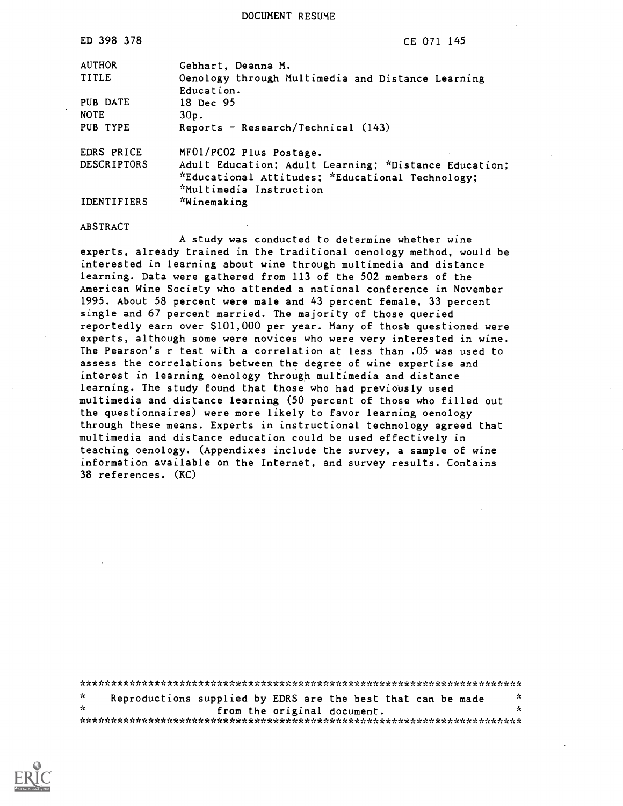DOCUMENT RESUME

| ED 398 378         | CE 071 145                                            |
|--------------------|-------------------------------------------------------|
| <b>AUTHOR</b>      | Gebhart, Deanna M.                                    |
| <b>TITLE</b>       | Oenology through Multimedia and Distance Learning     |
|                    | Education.                                            |
| PUB DATE           | 18 Dec 95                                             |
| <b>NOTE</b>        | 30p.                                                  |
| PUB TYPE           | Reports - Research/Technical (143)                    |
| EDRS PRICE         | MF01/PC02 Plus Postage.                               |
| <b>DESCRIPTORS</b> | Adult Education; Adult Learning; *Distance Education; |
|                    | *Educational Attitudes; *Educational Technology;      |
|                    | *Multimedia Instruction                               |
| <b>IDENTIFIERS</b> | *Winemaking                                           |

#### ABSTRACT

A study was conducted to determine whether wine experts, already trained in the traditional oenology method, would be interested in learning about wine through multimedia and distance learning. Data were gathered from 113 of the 502 members of the American Wine Society who attended a national conference in November 1995. About 58 percent were male and 43 percent female, 33 percent single and 67 percent married. The majority of those queried reportedly earn over \$101,000 per year. Many of those questioned were experts, although some were novices who were very interested in wine. The Pearson's r test with a correlation at less than .05 was used to assess the correlations between the degree of wine expertise and interest in learning oenology through multimedia and distance learning. The study found that those who had previously used multimedia and distance learning (50 percent of those who filled out the questionnaires) were more likely to favor learning oenology through these means. Experts in instructional technology agreed that multimedia and distance education could be used effectively in teaching oenology. (Appendixes include the survey, a sample of wine information available on the Internet, and survey results. Contains 38 references. (KC)

| $\star$ |  | Reproductions supplied by EDRS are the best that can be made | * |  |
|---------|--|--------------------------------------------------------------|---|--|
| ÷.      |  | from the original document.                                  | × |  |
|         |  |                                                              |   |  |

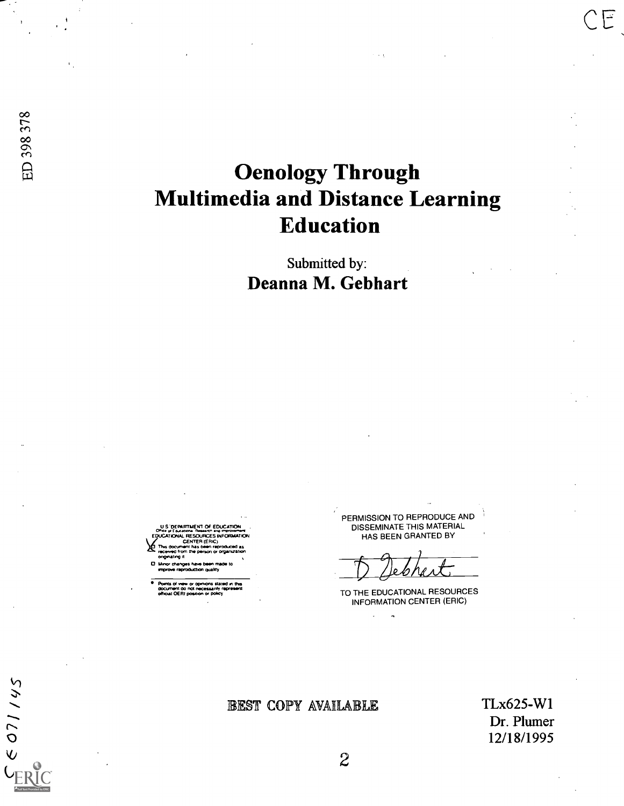$C 071145$ 

# Oenology Through Multimedia and Distance Learning Education

Submitted by: Deanna M. Gebhart

U S 'DEPARTIMENT OF EDUCATION ...<br>Oftice of Educations Research and improvement EDUCATIONAL RESOURCES INFORMATION CENTER (ERIC)<br>ent has been raproduced as received from the person or org<br>onginating it

D. Minor changes have been made to wpm). MproOLU200 Qualay.

Points of view or opinions stated in this<br>document do not necessarily represent official OERI position or pokey

PERMISSION TO REPRODUCE AND DISSEMINATE THIS MATERIAL HAS BEEN GRANTED BY

TO THE EDUCATIONAL RESOURCES INFORMATION CENTER (ERIC)

## BEST COPY AVAILABLE TLx625-W1

Dr. Plumer 12/18/1995

F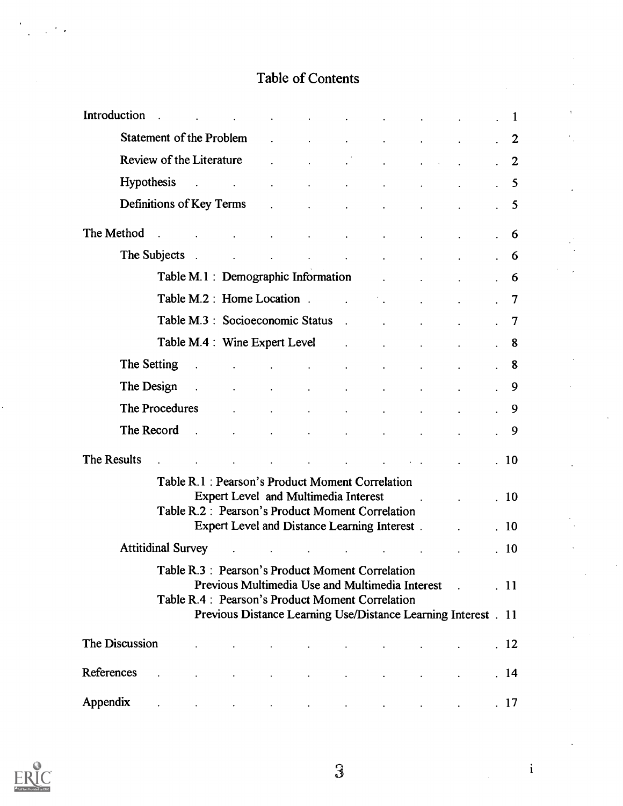## Table of Contents

| Introduction.     |                      |               |                                                                                                                                                           | and the state of the state                     | $\Delta \sim 10^{11}$ m $^{-1}$                                  |                                                 |                                                                 |                                                                 |  | - 1            |
|-------------------|----------------------|---------------|-----------------------------------------------------------------------------------------------------------------------------------------------------------|------------------------------------------------|------------------------------------------------------------------|-------------------------------------------------|-----------------------------------------------------------------|-----------------------------------------------------------------|--|----------------|
|                   |                      |               |                                                                                                                                                           |                                                |                                                                  | $\ddot{\phantom{0}}$                            | $\bullet$                                                       | $\ddot{\phantom{a}}$                                            |  | $\cdot$ 2      |
|                   |                      |               | Review of the Literature Fig.                                                                                                                             |                                                |                                                                  |                                                 |                                                                 |                                                                 |  | $\overline{2}$ |
| <b>Hypothesis</b> |                      |               | $\mathcal{L}^{\mathcal{A}}$ , and $\mathcal{L}^{\mathcal{A}}$ , and $\mathcal{L}^{\mathcal{A}}$ , and $\mathcal{L}^{\mathcal{A}}$                         |                                                | and the state of the state                                       | $\bullet$                                       |                                                                 |                                                                 |  | -5             |
|                   |                      |               | Definitions of Key Terms .                                                                                                                                |                                                | $\sim 100$ km s $^{-1}$                                          | $\ddot{\phantom{a}}$                            |                                                                 | $\ddot{\phantom{0}}$                                            |  | -5             |
| The Method        | $\sim$               |               |                                                                                                                                                           |                                                | the contract of the contract of the                              |                                                 | <b>Contractor</b>                                               | $\bullet$ .<br><br><br><br><br><br><br><br><br><br><br><br><br> |  | 6              |
|                   | The Subjects.        |               | $\mathcal{L}^{\text{max}}$ and $\mathcal{L}^{\text{max}}$                                                                                                 |                                                |                                                                  | the contract of the contract of the contract of | <b>All Contracts</b>                                            | $\bullet$                                                       |  | 6              |
|                   |                      |               | Table M.1: Demographic Information Table M.1:                                                                                                             |                                                |                                                                  |                                                 |                                                                 | $\Delta \sim 10^{-11}$                                          |  | 6              |
|                   |                      |               | Table M.2 : Home Location .                                                                                                                               |                                                |                                                                  |                                                 |                                                                 |                                                                 |  | -7             |
|                   |                      |               | Table M.3 : Socioeconomic Status .                                                                                                                        |                                                |                                                                  |                                                 |                                                                 |                                                                 |  | $\overline{7}$ |
|                   |                      |               | Table M.4 : Wine Expert Level                                                                                                                             |                                                |                                                                  | <b>Contract Contract</b>                        | $\ddot{\phantom{a}}$                                            |                                                                 |  | -8             |
|                   | The Setting          | $\sim 10$     |                                                                                                                                                           |                                                | $\sim 100$                                                       | $\blacksquare$                                  | $\blacksquare$                                                  |                                                                 |  | 8              |
|                   | The Design           | $\sim 10$     |                                                                                                                                                           | $\mathbf{A}$ and $\mathbf{A}$ and $\mathbf{A}$ | $\mathbf{L}^{(1)}$ and $\mathbf{L}^{(2)}$ and $\mathbf{L}^{(3)}$ | $\ddot{\phantom{0}}$                            | $\bullet$                                                       |                                                                 |  | -9             |
|                   | The Procedures       |               |                                                                                                                                                           |                                                | $\sim$                                                           | $\bullet$                                       |                                                                 |                                                                 |  | 9              |
|                   | The Record           | $\sim$ $\sim$ |                                                                                                                                                           |                                                | $\sim$                                                           |                                                 |                                                                 |                                                                 |  | 9              |
| The Results       |                      |               |                                                                                                                                                           |                                                |                                                                  |                                                 |                                                                 |                                                                 |  | .10            |
|                   | $\ddot{\phantom{a}}$ |               | Table R.1: Pearson's Product Moment Correlation                                                                                                           | $\bullet$                                      |                                                                  |                                                 | the contract of the contract of the contract of the contract of |                                                                 |  |                |
|                   |                      |               | <b>Expert Level and Multimedia Interest</b>                                                                                                               |                                                |                                                                  |                                                 |                                                                 | and the company of the                                          |  | .10            |
|                   |                      |               | Table R.2 : Pearson's Product Moment Correlation                                                                                                          |                                                |                                                                  |                                                 |                                                                 |                                                                 |  |                |
|                   |                      |               | Expert Level and Distance Learning Interest.                                                                                                              |                                                |                                                                  |                                                 |                                                                 |                                                                 |  | .10            |
|                   |                      |               | Attitidinal Survey Article and Survey Article and Survey                                                                                                  |                                                |                                                                  |                                                 |                                                                 |                                                                 |  | .10            |
|                   |                      |               | Table R.3 : Pearson's Product Moment Correlation<br>Previous Multimedia Use and Multimedia Interest .<br>Table R.4 : Pearson's Product Moment Correlation |                                                |                                                                  |                                                 |                                                                 |                                                                 |  | $\cdot$ 11     |
|                   |                      |               | Previous Distance Learning Use/Distance Learning Interest . 11                                                                                            |                                                |                                                                  |                                                 |                                                                 |                                                                 |  |                |
| The Discussion    |                      |               |                                                                                                                                                           | <b>All Contract Contracts</b>                  |                                                                  |                                                 |                                                                 |                                                                 |  | .12            |
| References        |                      |               |                                                                                                                                                           |                                                | the contract of the contract of the                              |                                                 |                                                                 |                                                                 |  | .14            |
| Appendix          |                      |               | the contract of the contract of the contract of the contract of the contract of                                                                           |                                                |                                                                  |                                                 |                                                                 |                                                                 |  | $\cdot$ 17     |



3

i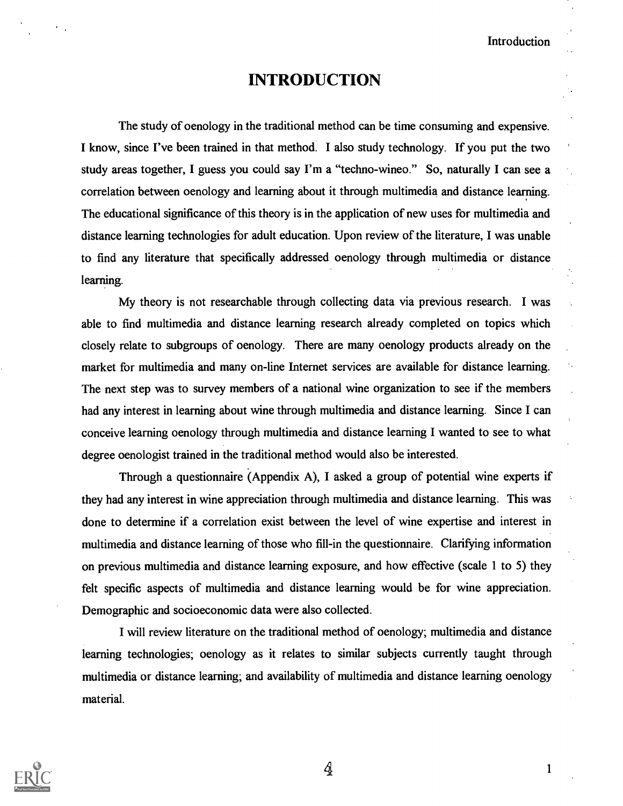## INTRODUCTION

The study of oenology in the traditional method can be time consuming and expensive. I know, since I've been trained in that method. I also study technology. If you put the two study areas together, I guess you could say I'm a "techno-wineo." So, naturally I can see a correlation between oenology and learning about it through multimedia and distance learning. The educational significance of this theory is in the application of new uses for multimedia and distance learning technologies for adult education. Upon review of the literature, I was unable to find any literature that specifically addressed oenology through multimedia or distance learning.

My theory is not researchable through collecting data via previous research. I was able to find multimedia and distance learning research already completed on topics which closely relate to subgroups of oenology. There are many oenology products already on the market for multimedia and many on-line Internet services are available for distance learning. The next step was to survey members of a national wine organization to see if the members had any interest in learning about wine through multimedia and distance learning. Since I can conceive learning oenology through multimedia and distance learning I wanted to see to what degree oenologist trained in the traditional method would also be interested.

Through a questionnaire (Appendix A), I asked a group of potential wine experts if they had any interest in wine appreciation through multimedia and distance learning. This was done to determine if a correlation exist between the level of wine expertise and interest in multimedia and distance learning of those who fill-in the questionnaire. Clarifying information on previous multimedia and distance learning exposure, and how effective (scale 1 to 5) they felt specific aspects of multimedia and distance learning would be for wine appreciation. Demographic and socioeconomic data were also collected.

I will review literature on the traditional method of oenology; multimedia and distance learning technologies; oenology as it relates to similar subjects currently taught through multimedia or distance learning; and availability of multimedia and distance learning oenology material.



 $\frac{1}{4}$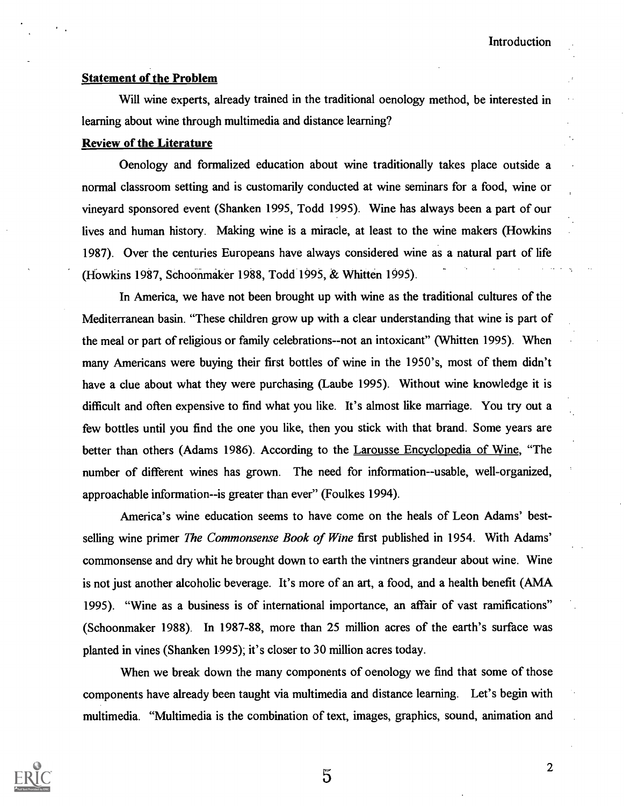## Statement of the Problem

Will wine experts, already trained in the traditional oenology method, be interested in learning about wine through multimedia and distance learning?

## Review of the Literature

Oenology and formalized education about wine traditionally takes place outside a normal classroom setting and is customarily conducted at wine seminars for a food, wine or vineyard sponsored event (Shanken 1995, Todd 1995). Wine has always been a part of our lives and human history. Making wine is a miracle, at least to the wine makers (Howkins 1987). Over the centuries Europeans have always considered wine as a natural part of life (Howkins 1987, Schoonmaker 1988, Todd 1995, & Whitten 1995).

In America, we have not been brought up with wine as the traditional cultures of the Mediterranean basin. "These children grow up with a clear understanding that wine is part of the meal or part of religious or family celebrations--not an intoxicant" (Whitten 1995). When many Americans were buying their first bottles of wine in the 1950's, most of them didn't have a clue about what they were purchasing (Laube 1995). Without wine knowledge it is difficult and often expensive to find what you like. It's almost like marriage. You try out a few bottles until you find the one you like, then you stick with that brand. Some years are better than others (Adams 1986). According to the Larousse Encyclopedia of Wine, "The number of different wines has grown. The need for information--usable, well-organized, approachable information--is greater than ever" (Foulkes 1994).

America's wine education seems to have come on the heals of Leon Adams' bestselling wine primer *The Commonsense Book of Wine* first published in 1954. With Adams' commonsense and dry whit he brought down to earth the vintners grandeur about wine. Wine is not just another alcoholic beverage. It's more of an art, a food, and a health benefit (AMA 1995). "Wine as a business is of international importance, an affair of vast ramifications" (Schoonmaker 1988). In 1987-88, more than 25 million acres of the earth's surface was planted in vines (Shanken 1995); it's closer to 30 million acres today.

When we break down the many components of oenology we find that some of those components have already been taught via multimedia and distance learning. Let's begin with multimedia. "Multimedia is the combination of text, images, graphics, sound, animation and



 $\overline{5}$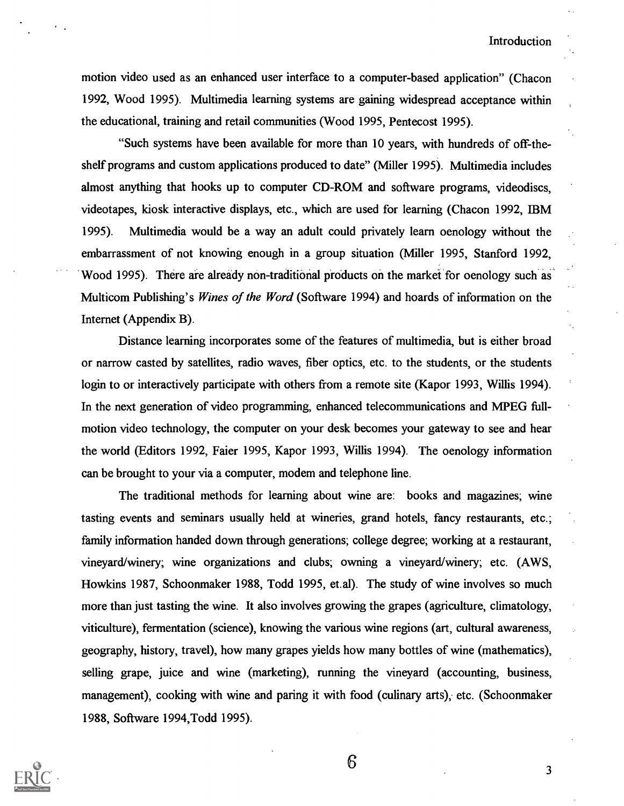motion video used as an enhanced user interface to a computer-based application" (Chacon 1992, Wood 1995). Multimedia learning systems are gaining widespread acceptance within the educational, training and retail communities (Wood 1995, Pentecost 1995).

"Such systems have been available for more than 10 years, with hundreds of off-theshelf programs and custom applications produced to date" (Miller 1995). Multimedia includes almost anything that hooks up to computer CD-ROM and software programs, videodiscs, videotapes, kiosk interactive displays, etc., which are used for learning (Chacon 1992, IBM 1995). Multimedia would be a way an adult could privately learn oenology without the embarrassment of not knowing enough in a group situation (Miller 1995, Stanford 1992, Wood 1995). There are already non-traditional products on the market for oenology such as Multicom Publishing's Wines of the Word (Software 1994) and hoards of information on the Internet (Appendix B).

Distance learning incorporates some of the features of multimedia, but is either broad or narrow casted by satellites, radio waves, fiber optics, etc. to the students, or the students login to or interactively participate with others from a remote site (Kapor 1993, Willis 1994). In the next generation of video programming, enhanced telecommunications and MPEG fullmotion video technology, the computer on your desk becomes your gateway to see and hear the world (Editors 1992, Faier 1995, Kapor 1993, Willis 1994). The oenology information can be brought to your via a computer, modem and telephone line.

The traditional methods for learning about wine are: books and magazines; wine tasting events and seminars usually held at wineries, grand hotels, fancy restaurants, etc.; family information handed down through generations; college degree; working at a restaurant, vineyard/winery; wine organizations and clubs; owning a vineyard/winery; etc. (AWS, Howkins 1987, Schoonmaker 1988, Todd 1995, et.al). The study of wine involves so much more than just tasting the wine. It also involves growing the grapes (agriculture, climatology, viticulture), fermentation (science), knowing the various wine regions (art, cultural awareness, geography, history, travel), how many grapes yields how many bottles of wine (mathematics), selling grape, juice and wine (marketing), running the vineyard (accounting, business, management), cooking with wine and paring it with food (culinary arts); etc. (Schoonmaker 1988, Software 1994,Todd 1995).

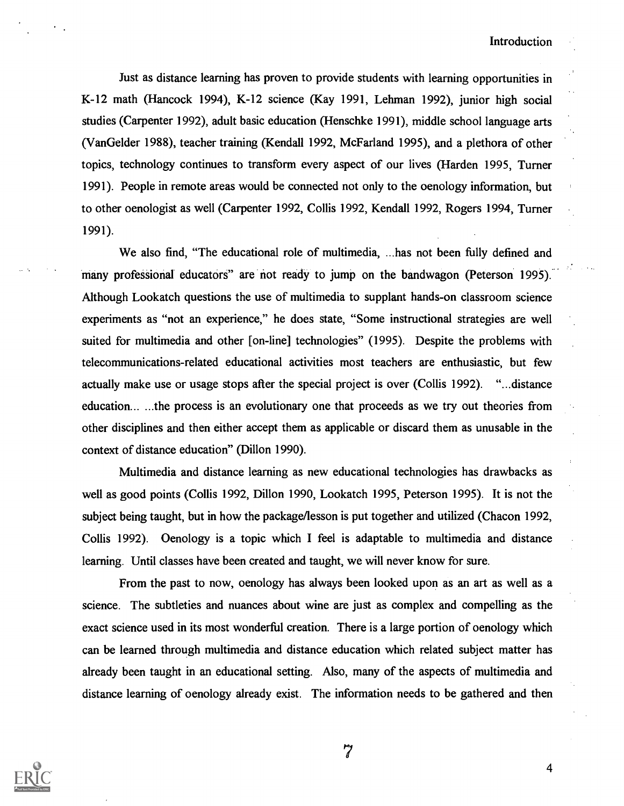Just as distance learning has proven to provide students with learning opportunities in K-12 math (Hancock 1994), K-12 science (Kay 1991, Lehman 1992), junior high social studies (Carpenter 1992), adult basic education (Henschke 1991), middle school language arts (Van Gelder 1988), teacher training (Kendall 1992, McFarland 1995), and a plethora of other topics, technology continues to transform every aspect of our lives (Harden 1995, Turner 1991). People in remote areas would be connected not only to the oenology information, but to other oenologist as well (Carpenter 1992, Collis 1992, Kendall 1992, Rogers 1994, Turner 1991).

We also find, "The educational role of multimedia, ...has not been fully defined and many professional educators" are not ready to jump on the bandwagon (Peterson 1995). Although Lookatch questions the use of multimedia to supplant hands-on classroom science experiments as "not an experience," he does state, "Some instructional strategies are well suited for multimedia and other [on-line] technologies" (1995). Despite the problems with telecommunications-related educational activities most teachers are enthusiastic, but few actually make use or usage stops after the special project is over (Collis 1992). "...distance education... ...the process is an evolutionary one that proceeds as we try out theories from other disciplines and then either accept them as applicable or discard them as unusable in the context of distance education" (Dillon 1990).

Multimedia and distance learning as new educational technologies has drawbacks as well as good points (Collis 1992, Dillon 1990, Lookatch 1995, Peterson 1995). It is not the subject being taught, but in how the package/lesson is put together and utilized (Chacon 1992, Collis 1992). Oenology is a topic which I feel is adaptable to multimedia and distance learning. Until classes have been created and taught, we will never know for sure.

From the past to now, oenology has always been looked upon as an art as well as a science. The subtleties and nuances about wine are just as complex and compelling as the exact science used in its most wonderful creation. There is a large portion of oenology which can be learned through multimedia and distance education which related subject matter has already been taught in an educational setting. Also, many of the aspects of multimedia and distance learning of oenology already exist. The information needs to be gathered and then



7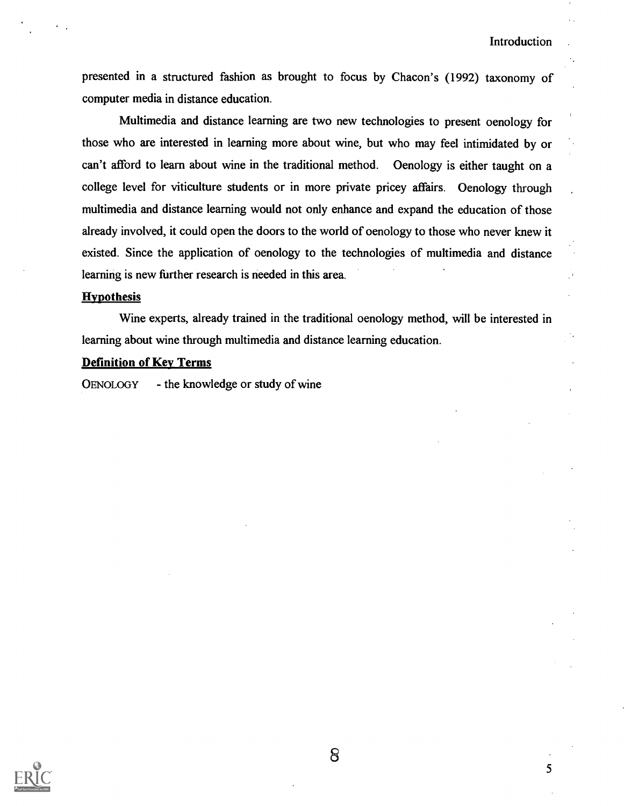presented in a structured fashion as brought to focus by Chacon's (1992) taxonomy of computer media in distance education.

Multimedia and distance learning are two new technologies to present oenology for those who are interested in learning more about wine, but who may feel intimidated by or can't afford to learn about wine in the traditional method. Oenology is either taught on a college level for viticulture students or in more private pricey affairs. Oenology through multimedia and distance learning would not only enhance and expand the education of those already involved, it could open the doors to the world of oenology to those who never knew it existed. Since the application of oenology to the technologies of multimedia and distance learning is new further research is needed in this area.

#### **Hypothesis**

Wine experts, already trained in the traditional oenology method, will be interested in learning about wine through multimedia and distance learning education.

## Definition of Key Terms

OENOLOGY - the knowledge or study of wine



8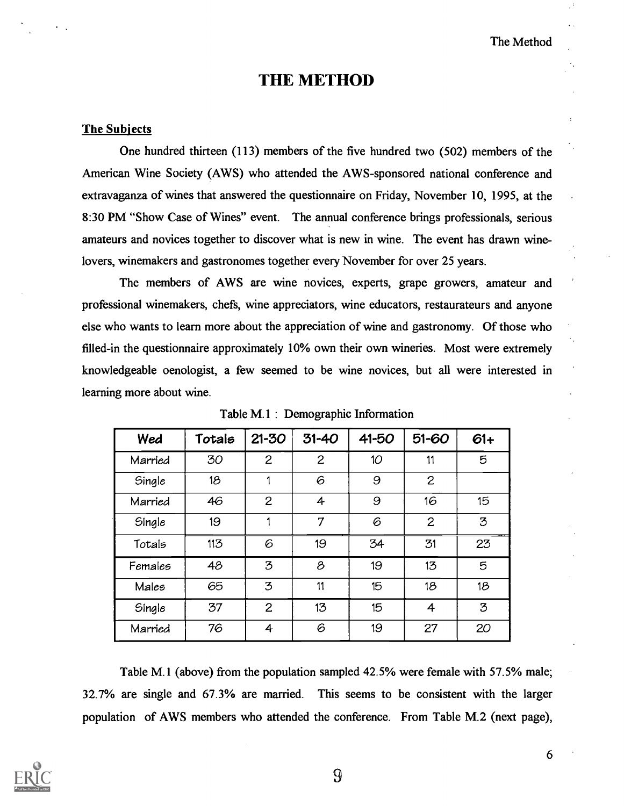## THE METHOD

## The Subjects

One hundred thirteen (113) members of the five hundred two (502) members of the American Wine Society (AWS) who attended the AWS-sponsored national conference and extravaganza of wines that answered the questionnaire on Friday, November 10, 1995, at the 8:30 PM "Show Case of Wines" event. The annual conference brings professionals, serious amateurs and novices together to discover what is new in wine. The event has drawn winelovers, winemakers and gastronomes together every November for over 25 years.

The members of AWS are wine novices, experts, grape growers, amateur and professional winemakers, chefs, wine appreciators, wine educators, restaurateurs and anyone else who wants to learn more about the appreciation of wine and gastronomy. Of those who filled-in the questionnaire approximately 10% own their own wineries. Most were extremely knowledgeable oenologist, a few seemed to be wine novices, but all were interested in learning more about wine.

| Wed     | Totals | $21 - 30$      | $31 - 40$    | 41-50 | 51-60          | $61+$ |
|---------|--------|----------------|--------------|-------|----------------|-------|
| Married | 30     | $\overline{c}$ | $\mathbf{2}$ | 10    | 11             | 5     |
| Single  | 18     |                | 6            | 9     | $\overline{2}$ |       |
| Married | 46     | $\overline{c}$ | 4            | 9     | 16             | 15    |
| Single  | 19     |                | 7            | 6     | $\overline{2}$ | 3     |
| Totals  | 113    | 6              | 19           | 34    | 31             | 23    |
| Females | 48     | 3              | 8            | 19    | 13             | 5     |
| Males   | 65     | 3              | 11           | 15    | 18             | 18    |
| Single  | 37     | $\overline{2}$ | 13           | 15    | 4              | 3     |
| Married | 76     | 4              | 6            | 19    | 27             | 20    |

Table M.1 : Demographic Information

Table M.1 (above) from the population sampled 42.5% were female with 57.5% male; 32.7% are single and 67.3% are married. This seems to be consistent with the larger population of AWS members who attended the conference. From Table M.2 (next page),

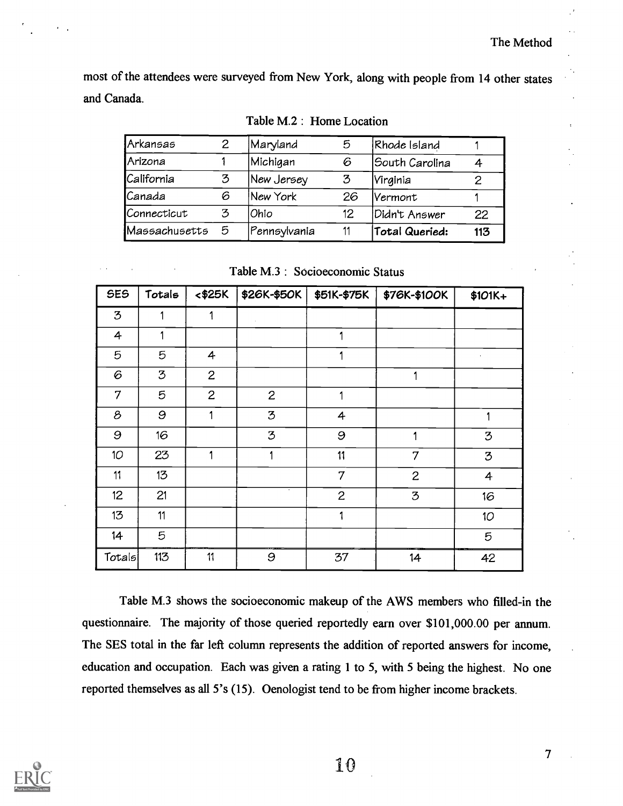most of the attendees were surveyed from New York, along with people from 14 other states and Canada.

Table M.2 : Home Location

| Arkansas      |   | Maryland     | ь  | Rhode Island   |     |
|---------------|---|--------------|----|----------------|-----|
| Arizona       |   | Michigan     | 6  | South Carolina |     |
| California    | 3 | New Jersey   | 3  | Virginia       |     |
| Canada        | 6 | New York     | 26 | Vermont        |     |
| Connecticut   | 3 | Ohio         | 12 | Didn't Answer  | 22  |
| Massachusetts | 5 | Pennsylvania | 11 | Total Queried: | 113 |

Table M.3 : Socioeconomic Status

| <b>SES</b> | Totals | $<$ \$25 $K$   | \$26K-\$50K  | \$51K-\$75K    | \$76K-\$100K | \$101K+         |
|------------|--------|----------------|--------------|----------------|--------------|-----------------|
| 3          |        | 1              |              |                |              |                 |
| 4          |        |                |              | 1              |              |                 |
| 5          | 5      | 4              |              | 1              |              | $\cdot$         |
| 6          | 3      | $\mathbf{2}$   |              |                | 1            |                 |
| 7          | 5      | $\overline{c}$ | $\mathbf{2}$ | 1              |              |                 |
| 8          | 9      | 1              | 3            | 4              |              | 1               |
| 9          | 16     |                | 3            | 9              |              | 3               |
| 10         | 23     | 1              | 1            | 11             | 7            | 3               |
| 11         | 13     |                |              | 7              | $\mathbf{2}$ | $\overline{4}$  |
| 12         | 21     |                |              | $\overline{c}$ | 3            | 16              |
| 13         | 11     |                |              | 1              |              | 10 <sub>2</sub> |
| 14         | 5      |                |              |                |              | 5               |
| Totals     | 113    | 11             | 9            | 37             | 14           | 42              |

Table M.3 shows the socioeconomic makeup of the AWS members who filled-in the questionnaire. The majority of those queried reportedly earn over \$101,000.00 per annum. The SES total in the far left column represents the addition of reported answers for income, education and occupation. Each was given a rating 1 to 5, with 5 being the highest. No one reported themselves as all 5's (15). Oenologist tend to be from higher income brackets.



10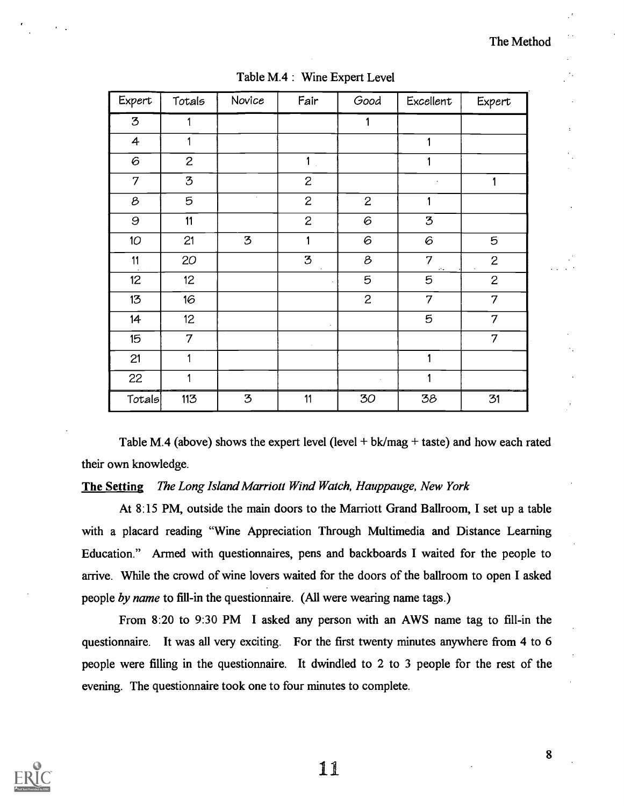| Expert          | Totals          | Novice         | Fair           | Good                                                      | Excellent                | Expert         |
|-----------------|-----------------|----------------|----------------|-----------------------------------------------------------|--------------------------|----------------|
| 3               | 1               |                |                | 1                                                         |                          |                |
| $\overline{4}$  | 1               |                |                |                                                           | 1                        |                |
| 6               | $\overline{c}$  |                | $\mathbf{1}$   |                                                           | 1                        |                |
| 7               | 3               |                | $\mathbf{2}$   |                                                           |                          | 1              |
| 8               | $\mathbf 5$     | $\cdot$        | $\mathbf{2}$   | $\mathbf{2}$                                              | 1                        |                |
| 9               | 11              |                | $\overline{c}$ | $\mathcal G$                                              | ${\bf 3}$                |                |
| 10 <sup>°</sup> | 21              | $\mathfrak{Z}$ | 1              | 6                                                         | 6                        | 5              |
| 11              | 20              |                | $\mathfrak{Z}$ | $\mathcal{B}% _{M_{1},M_{2}}^{\alpha,\beta}(\varepsilon)$ | $\overline{7}$<br>$\sim$ | $\mathbf{2}$   |
| 12              | 12 <sub>2</sub> |                |                | 5                                                         | 5                        | $\mathbf{2}$   |
| 13              | 16              |                |                | 2                                                         | $\overline{7}$           | 7              |
| 14              | 12 <sub>2</sub> |                | ×.             |                                                           | 5                        | $\overline{7}$ |
| 15              | $\overline{7}$  |                |                |                                                           |                          | $\overline{7}$ |
| 21              | 1               |                |                |                                                           | 1                        |                |
| 22              | 1               |                |                |                                                           | 1                        |                |
| Totals          | 113             | $\mathfrak{Z}$ | 11             | 30                                                        | 38                       | 31             |

Table M.4 : Wine Expert Level

Table M.4 (above) shows the expert level (level + bk/mag + taste) and how each rated their own knowledge.

## The Setting The Long Island Marriott Wind Watch, Hauppauge, New York

At 8:15 PM, outside the main doors to the Marriott Grand Ballroom, I set up a table with a placard reading "Wine Appreciation Through Multimedia and Distance Learning Education." Armed with questionnaires, pens and backboards I waited for the people to arrive. While the crowd of wine lovers waited for the doors of the ballroom to open I asked people by name to fill-in the questionnaire. (All were wearing name tags.)

From 8:20 to 9:30 PM I asked any person with an AWS name tag to fill-in the questionnaire. It was all very exciting. For the first twenty minutes anywhere from 4 to 6 people were filling in the questionnaire. It dwindled to 2 to 3 people for the rest of the evening. The questionnaire took one to four minutes to complete.



11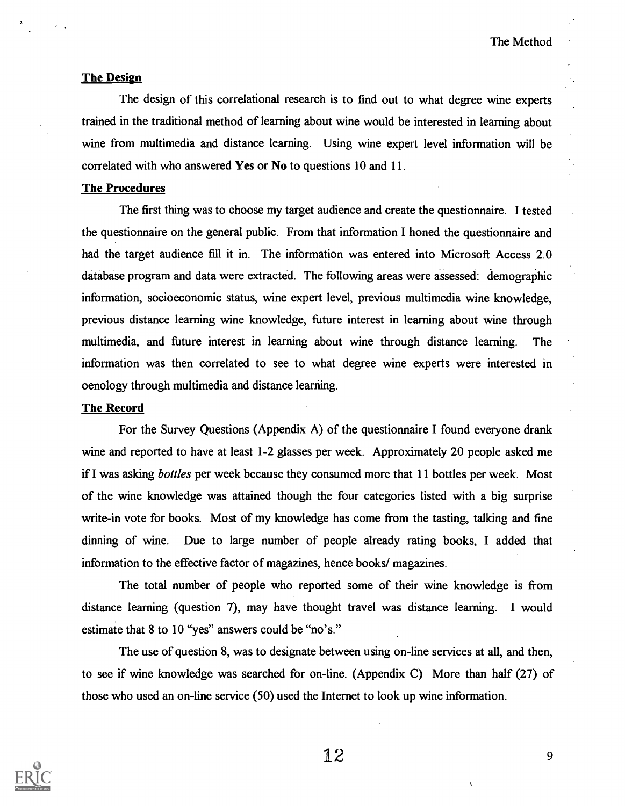#### The Design

The design of this correlational research is to find out to what degree wine experts trained in the traditional method of learning about wine would be interested in learning about wine from multimedia and distance learning. Using wine expert level information will be correlated with who answered Yes or No to questions 10 and 11.

#### The Procedures

The first thing was to choose my target audience and create the questionnaire. I tested the questionnaire on the general public. From that information I honed the questionnaire and had the target audience fill it in. The information was entered into Microsoft Access 2.0 database program and data were extracted. The following areas were assessed: demographic information, socioeconomic status, wine expert level, previous multimedia wine knowledge, previous distance learning wine knowledge, future interest in learning about wine through multimedia, and future interest in learning about wine through distance learning. The information was then correlated to see to what degree wine experts were interested in oenology through multimedia and distance learning.

#### The Record

For the Survey Questions (Appendix A) of the questionnaire I found everyone drank wine and reported to have at least 1-2 glasses per week. Approximately 20 people asked me if I was asking *bottles* per week because they consumed more that 11 bottles per week. Most of the wine knowledge was attained though the four categories listed with a big surprise write-in vote for books. Most of my knowledge has come from the tasting, talking and fine dinning of wine. Due to large number of people already rating books, I added that information to the effective factor of magazines, hence books/ magazines.

The total number of people who reported some of their wine knowledge is from distance learning (question 7), may have thought travel was distance learning. I would estimate that 8 to 10 "yes" answers could be "no's."

The use of question 8, was to designate between using on-line services at all, and then, to see if wine knowledge was searched for on-line. (Appendix C) More than half (27) of those who used an on-line service (50) used the Internet to look up wine information.

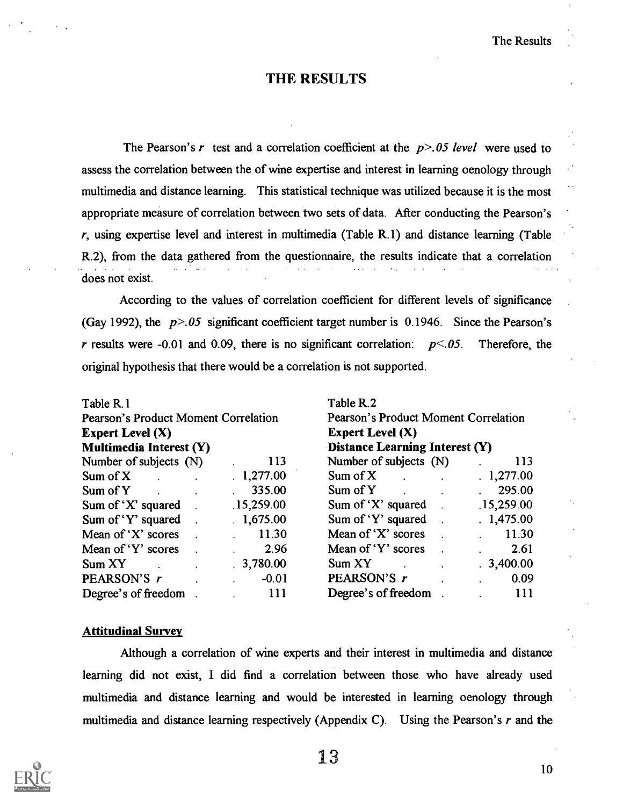## THE RESULTS

The Pearson's r test and a correlation coefficient at the  $p > 0.05$  level were used to assess the correlation between the of wine expertise and interest in learning oenology through multimedia and distance learning. This statistical technique was utilized because it is the most appropriate measure of correlation between two sets of data. After conducting the Pearson's  $r$ , using expertise level and interest in multimedia (Table R.1) and distance learning (Table R.2), from the data gathered from the questionnaire, the results indicate that a correlation does not exist.

According to the values of correlation coefficient for different levels of significance (Gay 1992), the  $p > 0.05$  significant coefficient target number is 0.1946. Since the Pearson's r results were -0.01 and 0.09, there is no significant correlation:  $p<0.05$ . Therefore, the original hypothesis that there would be a correlation is not supported.

| Table R.1                            |            | Table R.2                            |            |  |
|--------------------------------------|------------|--------------------------------------|------------|--|
| Pearson's Product Moment Correlation |            | Pearson's Product Moment Correlation |            |  |
| Expert Level $(X)$                   |            | Expert Level $(X)$                   |            |  |
| <b>Multimedia Interest (Y)</b>       |            | Distance Learning Interest (Y)       |            |  |
| Number of subjects (N)               | 113        | Number of subjects (N)               | 113        |  |
| Sum of $X$                           | .1,277.00  | Sum of $X$                           | .1,277.00  |  |
| Sum of Y                             | 335.00     | Sum of Y                             | 295.00     |  |
| Sum of 'X' squared                   | .15,259.00 | Sum of 'X' squared $\qquad$ .        | .15,259.00 |  |
| Sum of 'Y' squared $\qquad$ .        | .1,675.00  | Sum of 'Y' squared $\qquad$ .        | .1,475.00  |  |
| Mean of 'X' scores                   | 11.30      | Mean of 'X' scores                   | 11.30      |  |
| Mean of 'Y' scores                   | 2.96       | Mean of 'Y' scores                   | 2.61       |  |
| Sum XY                               | .3,780.00  | Sum XY                               | .3,400.00  |  |
| PEARSON'S r                          | $-0.01$    | PEARSON'S r                          | 0.09       |  |
| Degree's of freedom                  | 111        | Degree's of freedom                  | 111        |  |

#### Attitudinal Survey

Although a correlation of wine experts and their interest in multimedia and distance learning did not exist, I did find a correlation between those who have already used multimedia and distance learning and would be interested in learning oenology through multimedia and distance learning respectively (Appendix C). Using the Pearson's  $r$  and the

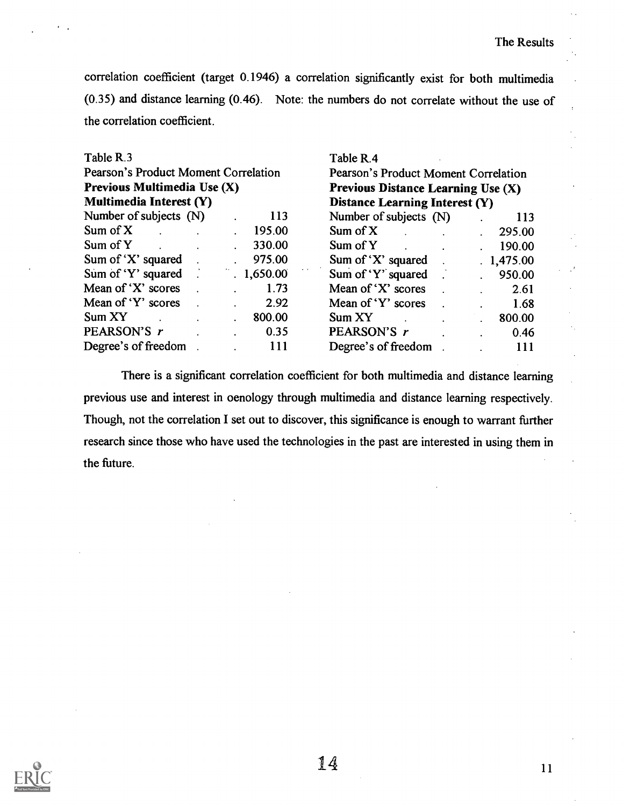correlation coefficient (target 0.1946) a correlation significantly exist for both multimedia (0.35) and distance learning (0.46). Note: the numbers do not correlate without the use of the correlation coefficient.

| Table R.3                            | Table R.4                             |
|--------------------------------------|---------------------------------------|
| Pearson's Product Moment Correlation | Pearson's Product Moment Correlation  |
| Previous Multimedia Use (X)          | Previous Distance Learning Use $(X)$  |
| Multimedia Interest (Y)              | <b>Distance Learning Interest (Y)</b> |
| Number of subjects (N)               | Number of subjects (N)                |
| 113                                  | 113                                   |
| Sum of $X$                           | Sum of $X$                            |
| 195.00                               | 295.00                                |
| Sum of Y                             | Sum of Y                              |
| 330.00                               | 190.00                                |
| Sum of 'X' squared                   | Sum of 'X' squared                    |
| 975.00                               | .1,475.00                             |
| Sum of 'Y' squared                   | Sum of 'Y' squared                    |
| 1,650.00                             | 950.00                                |
| Mean of 'X' scores                   | Mean of 'X' scores                    |
| 1.73                                 | 2.61                                  |
| Mean of 'Y' scores                   | Mean of 'Y' scores                    |
| 2.92                                 | 1.68                                  |
| Sum XY                               | Sum XY                                |
| 800.00                               | 800.00                                |
| PEARSON'S r                          | PEARSON'S r                           |
| 0.35                                 | 0.46                                  |
| Degree's of freedom                  | Degree's of freedom                   |
| 111                                  | 111                                   |

There is a significant correlation coefficient for both multimedia and distance learning previous use and interest in oenology through multimedia and distance learning respectively. Though, not the correlation I set out to discover, this significance is enough to warrant further research since those who have used the technologies in the past are interested in using them in the future.

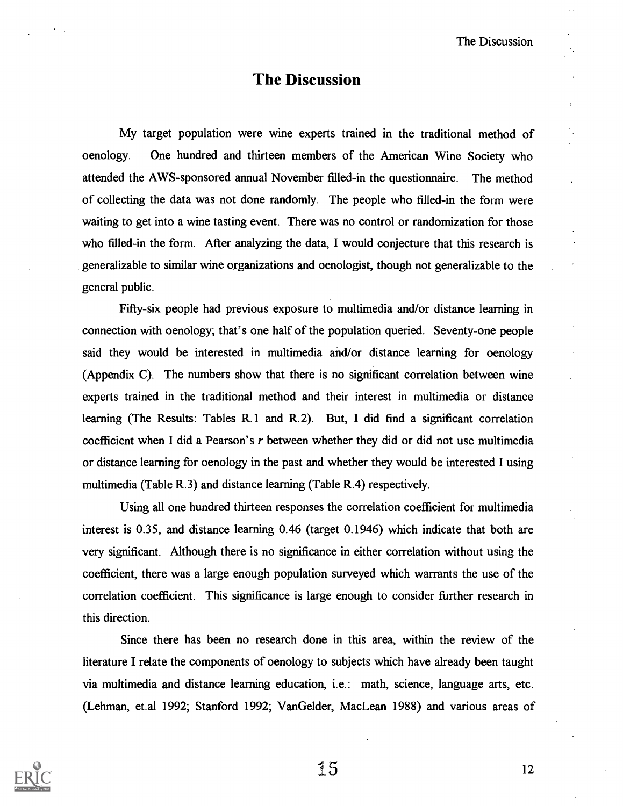The Discussion

## The Discussion

My target population were wine experts trained in the traditional method of oenology. One hundred and thirteen members of the American Wine Society who attended the AWS-sponsored annual November filled-in the questionnaire. The method of collecting the data was not done randomly. The people who filled-in the form were waiting to get into a wine tasting event. There was no control or randomization for those who filled-in the form. After analyzing the data, I would conjecture that this research is generalizable to similar wine organizations and oenologist, though not generalizable to the general public.

Fifty-six people had previous exposure to multimedia and/or distance learning in connection with oenology; that's one half of the population queried. Seventy-one people said they would be interested in multimedia and/or distance learning for oenology (Appendix C). The numbers show that there is no significant correlation between wine experts trained in the traditional method and their interest in multimedia or distance learning (The Results: Tables R.1 and R.2). But, I did find a significant correlation coefficient when I did a Pearson's r between whether they did or did not use multimedia or distance learning for oenology in the past and whether they would be interested I using multimedia (Table R.3) and distance learning (Table R.4) respectively.

Using all one hundred thirteen responses the correlation coefficient for multimedia interest is 0.35, and distance learning 0.46 (target 0.1946) which indicate that both are very significant. Although there is no significance in either correlation without using the coefficient, there was a large enough population surveyed which warrants the use of the correlation coefficient. This significance is large enough to consider further research in this direction.

Since there has been no research done in this area, within the review of the literature I relate the components of oenology to subjects which have already been taught via multimedia and distance learning education, i.e.: math, science, language arts, etc. (Lehman, et.al 1992; Stanford 1992; VanGelder, MacLean 1988) and various areas of

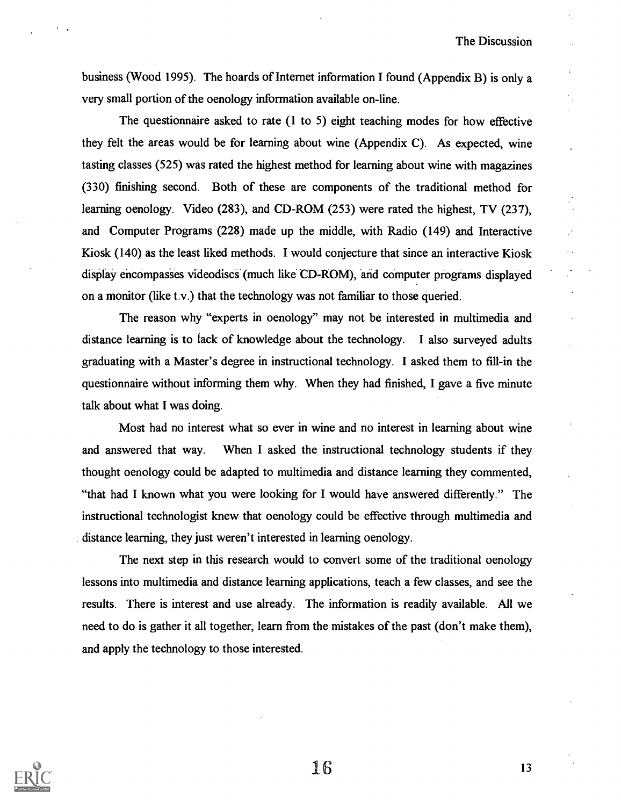business (Wood 1995). The hoards of Internet information I found (Appendix B) is only a very small portion of the oenology information available on-line.

The questionnaire asked to rate (1 to 5) eight teaching modes for how effective they felt the areas would be for learning about wine (Appendix C). As expected, wine tasting classes (525) was rated the highest method for learning about wine with magazines (330) finishing second. Both of these are components of the traditional method for learning oenology. Video (283), and CD-ROM (253) were rated the highest, TV (237), and Computer Programs (228) made up the middle, with Radio (149) and Interactive Kiosk (140) as the least liked methods. I would conjecture that since an interactive Kiosk display encompasses videodiscs (much like CD-ROM), and computer programs displayed on a monitor (like t.v.) that the technology was not familiar to those queried.

The reason why "experts in oenology" may not be interested in multimedia and distance learning is to lack of knowledge about the technology. I also surveyed adults graduating with a Master's degree in instructional technology. I asked them to fill-in the questionnaire without informing them why. When they had finished, I gave a five minute talk about what I was doing.

Most had no interest what so ever in wine and no interest in learning about wine and answered that way. When I asked the instructional technology students if they thought oenology could be adapted to multimedia and distance learning they commented, "that had I known what you were looking for I would have answered differently." The instructional technologist knew that oenology could be effective through multimedia and distance learning, they just weren't interested in learning oenology.

The next step in this research would to convert some of the traditional oenology lessons into multimedia and distance learning applications, teach a few classes, and see the results. There is interest and use already. The information is readily available. All we need to do is gather it all together, learn from the mistakes of the past (don't make them), and apply the technology to those interested.

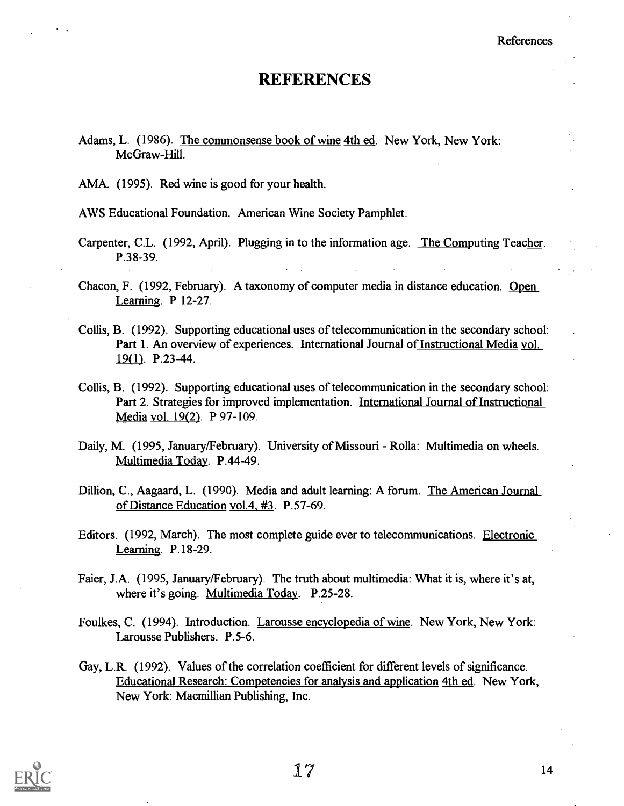## REFERENCES

- Adams, L. (1986). The commonsense book of wine 4th ed. New York, New York: McGraw-Hill.
- AMA. (1995). Red wine is good for your health.

AWS Educational Foundation. American Wine Society Pamphlet.

- Carpenter, C.L. (1992, April). Plugging in to the information age. The Computing Teacher. P.38-39.
- Chacon, F. (1992, February). A taxonomy of computer media in distance education. Open Learning. P.12-27.
- Collis, B. (1992). Supporting educational uses of telecommunication in the secondary school: Part 1. An overview of experiences. International Journal of Instructional Media vol. 19(1). P.23-44.
- Collis, B. (1992). Supporting educational uses of telecommunication in the secondary school: Part 2. Strategies for improved implementation. International Journal of Instructional Media vol. 19(2). P.97-109.
- Daily, M. (1995, January/February). University of Missouri Rolla: Multimedia on wheels. Multimedia Today. P.44-49.
- Dillion, C., Aagaard, L. (1990). Media and adult learning: A forum. The American Journal of Distance Education vol.4 #3. P.57-69.
- Editors. (1992, March). The most complete guide ever to telecommunications. Electronic Learning. P.18-29.
- Faier, J.A. (1995, January/February). The truth about multimedia: What it is, where it's at, where it's going. Multimedia Today. P.25-28.
- Foulkes, C. (1994). Introduction. Larousse encyclopedia of wine. New York, New York: Larousse Publishers. P.5-6.
- Gay, L.R. (1992). Values of the correlation coefficient for different levels of significance. Educational Research: Competencies for analysis and application 4th ed. New York, New York: Macmillian Publishing, Inc.

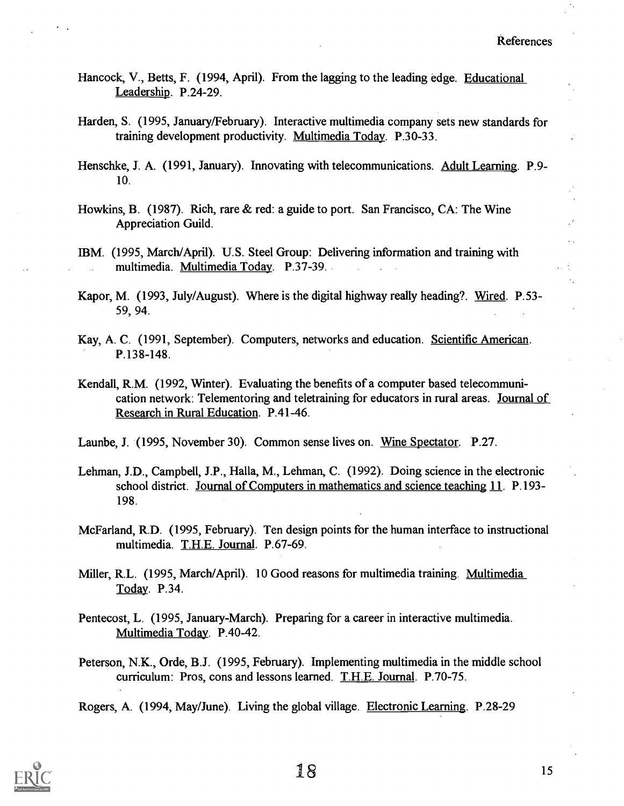- Hancock, V., Betts, F. (1994, April). From the lagging to the leading edge. Educational Leadership. P.24-29.
- Harden, S. (1995, January/February). Interactive multimedia company sets new standards for training development productivity. Multimedia Today. P.30-33.
- Henschke, J. A. (1991, January). Innovating with telecommunications. Adult Learning. P.9- 10.
- Howkins, B. (1987). Rich, rare & red: a guide to port. San Francisco, CA: The Wine Appreciation Guild.
- IBM. (1995, March/April). U.S. Steel Group: Delivering information and training with multimedia. Multimedia Today. P.37-39.
- Kapor, M. (1993, July/August). Where is the digital highway really heading?. Wired. P.53- 59, 94.
- Kay, A. C. (1991, September). Computers, networks and education. Scientific American. P.138-148.
- Kendall, R.M. (1992, Winter). Evaluating the benefits of a computer based telecommunication network: Telementoring and teletraining for educators in rural areas. Journal of Research in Rural Education. P.41-46.
- Launbe, J. (1995, November 30). Common sense lives on. Wine Spectator. P.27.
- Lehman, J.D., Campbell, J.P., Halla, M., Lehman, C. (1992). Doing science in the electronic school district. Journal of Computers in mathematics and science teaching 11. P.193- 198.
- McFarland, R.D. (1995, February). Ten design points for the human interface to instructional multimedia. T.H.E. Journal. P.67-69.
- Miller, R.L. (1995, March/April). 10 Good reasons for multimedia training. Multimedia Today. P.34.
- Pentecost, L. (1995, January-March). Preparing for a career in interactive multimedia. Multimedia Today. P.40-42.
- Peterson, N.K., Orde, B.J. (1995, February). Implementing multimedia in the middle school curriculum: Pros, cons and lessons learned. T.H.E. Journal. P.70-75.

Rogers, A. (1994, May/June). Living the global village. Electronic Learning. P.28-29

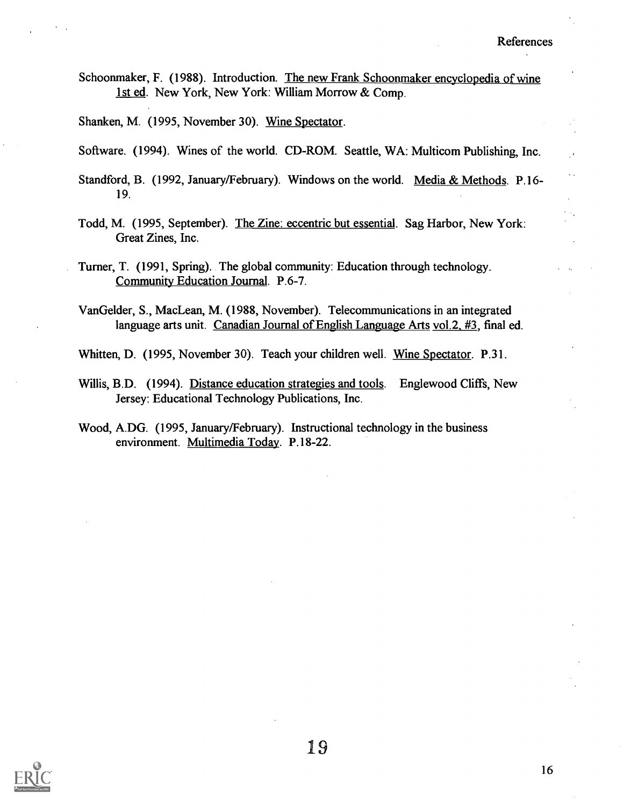Schoonmaker, F. (1988). Introduction. The new Frank Schoonmaker encyclopedia of wine 1st ed. New York, New York: William Morrow & Comp.

Shanken, M. (1995, November 30). Wine Spectator.

- Software. (1994). Wines of the world. CD-ROM. Seattle, WA: Multicom Publishing, Inc.
- Standford, B. (1992, January/February). Windows on the world. Media & Methods. P.16- 19.
- Todd, M. (1995, September). The Zine: eccentric but essential. Sag Harbor, New York: Great Zines, Inc.
- Turner, T. (1991, Spring). The global community: Education through technology. Community Education Journal. P.6-7.
- VanGelder, S., MacLean, M. (1988, November). Telecommunications in an integrated language arts unit. Canadian Journal of English Language Arts vol.2, #3, final ed.

Whitten, D. (1995, November 30). Teach your children well. Wine Spectator. P.31.

- Willis, B.D. (1994). Distance education strategies and tools. Englewood Cliffs, New Jersey: Educational Technology Publications, Inc.
- Wood, A.DG. (1995, January/February). Instructional technology in the business environment. Multimedia Today. P.18-22.

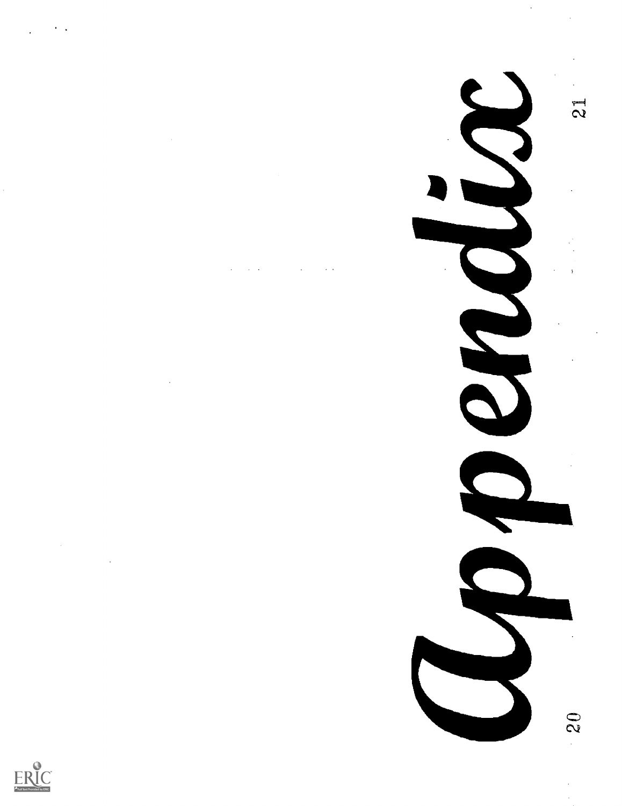$\bar{z}$ 

ERIC



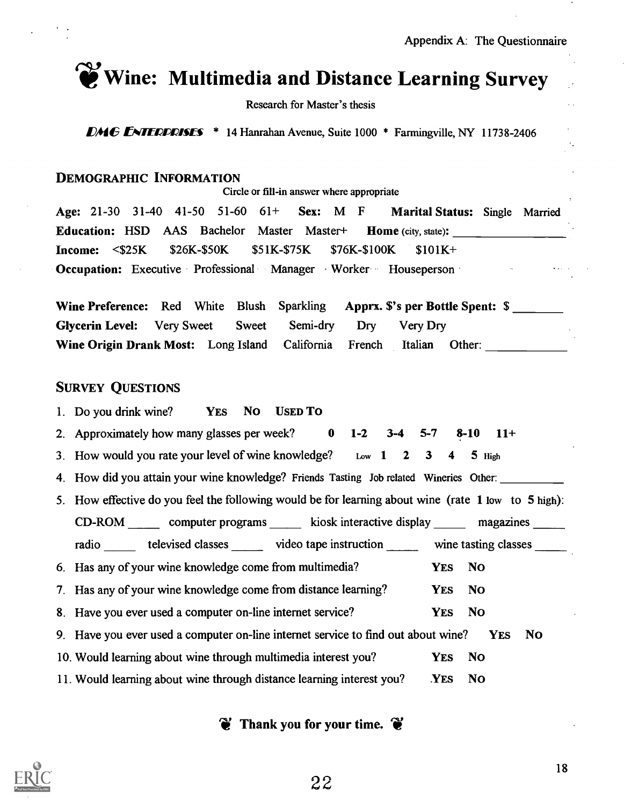

# $\gamma$  Wine: Multimedia and Distance Learning Survey

Research for Master's thesis

**DMG ENTERPRISES** \* 14 Hanrahan Avenue, Suite 1000 \* Farmingville, NY 11738-2406

## DEMOGRAPHIC INFORMATION

Circle or fill-in answer where appropriate

Age: 21-30 31-40 41-50 51-60 61+ Sex: M  $F$  Marital Status: Single Married Education: HSD AAS Bachelor Master Master+ Home (city, state): Income: <\$25K \$26K-\$50K \$51K-\$75K \$76K-\$100K \$101K+ Occupation: Executive Professional Manager Worker Houseperson

Wine Preference: Red White Blush Sparkling Apprx. \$'s per Bottle Spent: \$ Glycerin Level: Very Sweet Sweet Semi-dry Dry Very Dry Wine Origin Drank Most: Long Island California French Italian Other:

## SURVEY QUESTIONS

- 1. Do you drink wine? YES No USED To
- 2. Approximately how many glasses per week? 0 1-2 3-4 5-7 8-10 11+
- 3. How would you rate your level of wine knowledge? Low  $1 \quad 2 \quad 3 \quad 4 \quad 5$  High
- 4. How did you attain your wine knowledge? Friends Tasting Job related Wineries Other:
- 5. How effective do you feel the following would be for learning about wine (rate 1 low to 5 high):

CD-ROM computer programs kiosk interactive display magazines

- radio televised classes video tape instruction wine tasting classes \_\_\_\_\_\_ 6. Has any of your wine knowledge come from multimedia? 7. Has any of your wine knowledge come from distance learning? 8. Have you ever used a computer on-line internet service? YES No YES NO YES NO 9. Have you ever used a computer on-line internet service to find out about wine? YES NO 10. Would learning about wine through multimedia interest you? YES No
- 11. Would learning about wine through distance learning interest you? YES No

Thank you for your time.  $\bullet$ 

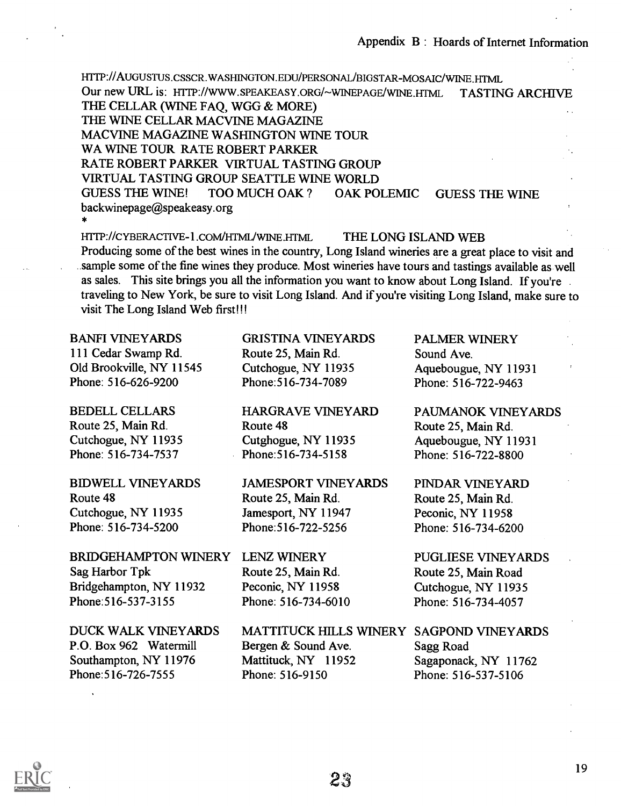Appendix B : Hoards of Internet Information

HTTP://AUGUSTUS.CSSCR.WASHINGTON.EDU/PERSONAL/BIGSTAR-MOSAIC/WINE.HTML Our new URL is: HTTP://WWW.SPEAKEASY.ORG/~WINEPAGE/WINE.HTML TASTING ARCHIVE THE CELLAR (WINE FAQ, WGG & MORE) THE WINE CELLAR MACVINE MAGAZINE MACVINE MAGAZINE WASHINGTON WINE TOUR WA WINE TOUR RATE ROBERT PARKER RATE ROBERT PARKER VIRTUAL TASTING GROUP VIRTUAL TASTING GROUP SEATTLE WINE WORLD GUESS THE WINE! TOO MUCH OAK ? OAK POLEMIC GUESS THE WINE backwinepage@speakeasy.org

HTTP://CYBERACTIVE-1.COM/HTML/WINE.HTML THE LONG ISLAND WEB Producing some of the best wines in the country, Long Island wineries are a great place to visit and sample some of the fine wines they produce. Most wineries have tours and tastings available as well as sales. This site brings you all the information you want to know about Long Island. If you're traveling to New York, be sure to visit Long Island. And if you're visiting Long Island, make sure to visit The Long Island Web first!!!

### BANFI VINEYARDS

111 Cedar Swamp Rd. Old Brookville, NY 11545 Phone: 516-626-9200

BEDELL CELLARS Route 25, Main Rd. Cutchogue, NY 11935 Phone: 516-734-7537

BIDWELL VINEYARDS

Route 48 Cutchogue, NY 11935 Phone: 516-734-5200

BRIDGEHAMPTON WINERY Sag Harbor Tpk Bridgehampton, NY 11932 Phone:516-537-3155

DUCK WALK VINEYARDS P.O. Box 962 Watermill Southampton, NY 11976 Phone:516-726-7555

GRISTINA VINEYARDS Route 25, Main Rd. Cutchogue, NY 11935 Phone:516-734-7089

HARGRAVE VINEYARD Route 48 Cutghogue, NY 11935 Phone:516-734-5158

JAMESPORT VINEYARDS Route 25, Main Rd. Jamesport, NY 11947 Phone:516-722-5256

LENZ WINERY Route 25, Main Rd. Peconic, NY 11958 Phone: 516-734-6010

MATTITUCK HILLS WINERY SAGPOND VINEYARDS Bergen & Sound Ave. Mattituck, NY 11952 Phone: 516-9150 Sagg Road

PALMER WINERY Sound Ave. Aquebougue, NY 11931 Phone: 516-722-9463

PAUMANOK VINEYARDS Route 25, Main Rd. Aquebougue, NY 11931 Phone: 516-722-8800

PINDAR VINEYARD Route 25, Main Rd. Peconic, NY 11958 Phone: 516-734-6200

PUGLIESE VINEYARDS Route 25, Main Road Cutchogue, NY 11935 Phone: 516-734-4057

Sagaponack, NY 11762 Phone: 516-537-5106

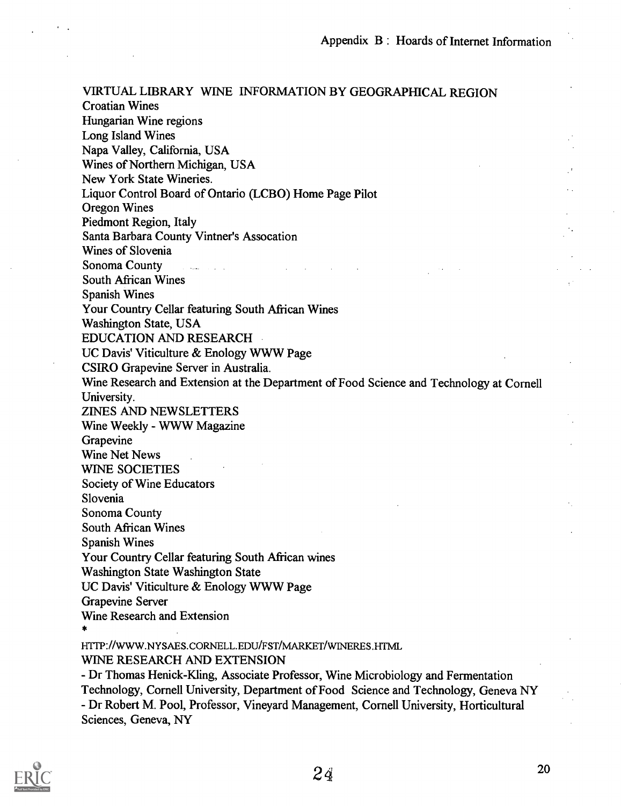VIRTUAL LIBRARY WINE INFORMATION BY GEOGRAPHICAL REGION Croatian Wines Hungarian Wine regions Long Island Wines Napa Valley, California, USA Wines of Northern Michigan, USA New York State Wineries. Liquor Control Board of Ontario (LCBO) Home Page Pilot Oregon Wines Piedmont Region, Italy Santa Barbara County Vintner's Assocation Wines of Slovenia Sonoma County . South African Wines Spanish Wines Your Country Cellar featuring South African Wines Washington State, USA EDUCATION AND RESEARCH UC Davis' Viticulture & Enology WWW Page CSIRO Grapevine Server in Australia. Wine Research and Extension at the Department of Food Science and Technology at Cornell University. ZINES AND NEWSLETTERS Wine Weekly - WWW Magazine Grapevine Wine Net News WINE SOCIETIES Society of Wine Educators Slovenia Sonoma County South African Wines Spanish Wines Your Country Cellar featuring South African wines Washington State Washington State UC Davis' Viticulture & Enology WWW Page Grapevine Server Wine Research and Extension HTTP://WWW.NYSAES.CORNELLEDU/FST/MARKET/WINERES.HTML WINE RESEARCH AND EXTENSION

- Dr Thomas Henick-Kling, Associate Professor, Wine Microbiology and Fermentation Technology, Cornell University, Department of Food Science and Technology, Geneva NY - Dr Robert M. Pool, Professor, Vineyard Management, Cornell University, Horticultural Sciences, Geneva, NY

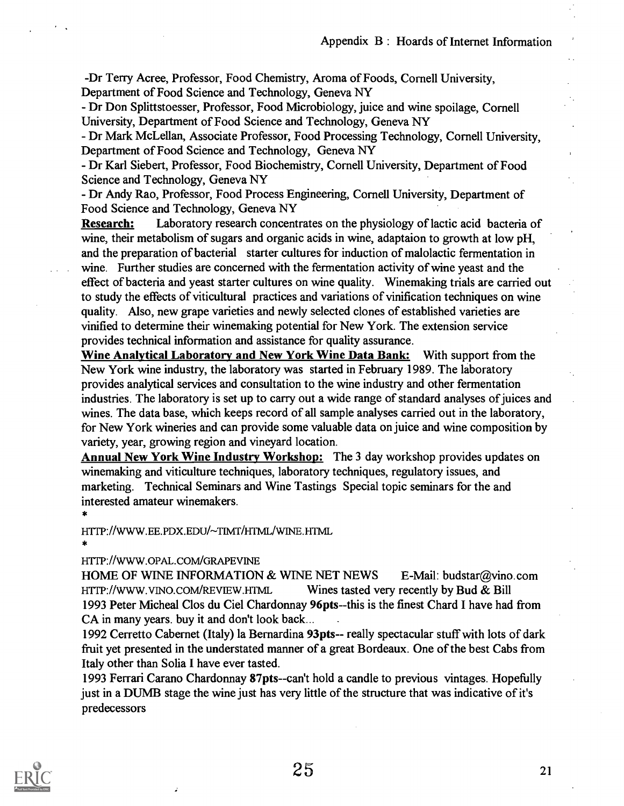-Dr Terry Acree, Professor, Food Chemistry, Aroma of Foods, Cornell University, Department of Food Science and Technology, Geneva NY

- Dr Don Splittstoesser, Professor, Food Microbiology, juice and wine spoilage, Cornell University, Department of Food Science and Technology, Geneva NY

- Dr Mark McLellan, Associate Professor, Food Processing Technology, Cornell University, Department of Food Science and Technology, Geneva NY

- Dr Karl Siebert, Professor, Food Biochemistry, Cornell University, Department of Food Science and Technology, Geneva NY

- Dr Andy Rao, Professor, Food Process Engineering, Cornell University, Department of Food Science and Technology, Geneva NY

**Research:** Laboratory research concentrates on the physiology of lactic acid bacteria of wine, their metabolism of sugars and organic acids in wine, adaptaion to growth at low pH, and the preparation of bacterial starter cultures for induction of malolactic fermentation in wine. Further studies are concerned with the fermentation activity of wine yeast and the effect of bacteria and yeast starter cultures on wine quality. Winemaking trials are carried out to study the effects of viticultural practices and variations of vinification techniques on wine quality. Also, new grape varieties and newly selected clones of established varieties are vinified to determine their winemaking potential for New York. The extension service provides technical information and assistance for quality assurance.

Wine Analytical Laboratory and New York Wine Data Bank: With support from the New York wine industry, the laboratory was started in February 1989. The laboratory provides analytical services and consultation to the wine industry and other fermentation industries. The laboratory is set up to carry out a wide range of standard analyses of juices and wines. The data base, which keeps record of all sample analyses carried out in the laboratory, for New York wineries and can provide some valuable data on juice and wine composition by variety, year, growing region and vineyard location.

Annual New York Wine Industry Workshop: The 3 day workshop provides updates on winemaking and viticulture techniques, laboratory techniques, regulatory issues, and marketing. Technical Seminars and Wine Tastings Special topic seminars for the and interested amateur winemakers.

HTTP://WWW.EE.PDX.EDU/~TIMT/HTML/WINE.HTML

\*

#### HTTP://WWW.OPAL.COM/GRAPEVINE

HOME OF WINE INFORMATION & WINE NET NEWS E-Mail: budstar@vino.com HTTP://WWW.VINO.COM/REVIEW.HTML Wines tasted very recently by Bud & Bill 1993 Peter Micheal Clos du Ciel Chardonnay 96pts--this is the finest Chard I have had from CA in many years. buy it and don't look back...

1992 Cerretto Cabernet (Italy) la Bernardina 93pts-- really spectacular stuff with lots of dark fruit yet presented in the understated manner of a great Bordeaux. One of the best Cabs from Italy other than Solia I have ever tasted.

1993 Ferrari Carano Chardonnay 87pts--can't hold a candle to previous vintages. Hopefully just in a DUMB stage the wine just has very little of the structure that was indicative of it's predecessors

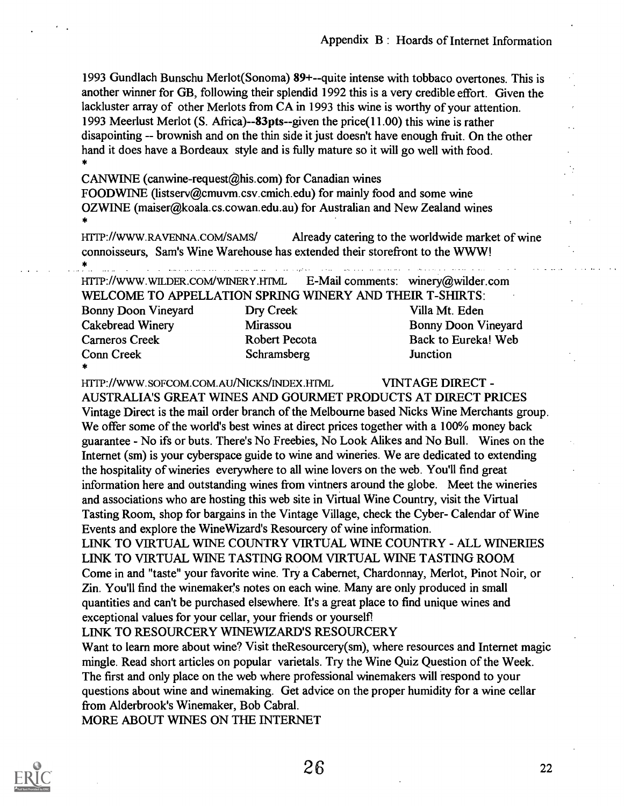1993 Gundlach Bunschu Merlot(Sonoma) 89+--quite intense with tobbaco overtones. This is another winner for GB, following their splendid 1992 this is a very credible effort. Given the lackluster array of other Merlots from CA in 1993 this wine is worthy of your attention. 1993 Meerlust Merlot (S. Africa)--83pts--given the price(11.00) this wine is rather disapointing -- brownish and on the thin side it just doesn't have enough fruit. On the other hand it does have a Bordeaux style and is fully mature so it will go well with food.

CANWINE (canwine-request@his.com) for Canadian wines FOODWINE (listserv@cmuvm.csv.cmich.edu) for mainly food and some wine OZWINE (maiser@koala.cs.cowan.edu.au) for Australian and New Zealand wines

\*

HTTP://WWW.RAVENNA.COM/SAMS/ Already catering to the worldwide market of wine connoisseurs, Sam's Wine Warehouse has extended their storefront to the WWW! \*

HTTP://WWW.WILDER.COM/WINERY.HTML E-Mail comments: winery@wilder.corn

WELCOME TO APPELLATION SPRING WINERY AND THEIR T-SHIRTS: Bonny Doon Vineyard Dry Creek Villa Mt. Eden Cakebread Winery Mirassou Bonny Doon Vineyard Cameros Creek Robert Pecota Back to Eureka! Web Conn Creek Schramsberg Junction

\*

HTTP://WWW.SOFCOM.COM.AUNICKS/INDEX.HTML VINTAGE DIRECT -

AUSTRALIA'S GREAT WINES AND GOURMET PRODUCTS AT DIRECT PRICES Vintage Direct is the mail order branch of the Melbourne based Nicks Wine Merchants group. We offer some of the world's best wines at direct prices together with a 100% money back guarantee - No ifs or buts. There's No Freebies, No Look Alikes and No Bull. Wines on the Internet (sm) is your cyberspace guide to wine and wineries. We are dedicated to extending the hospitality of wineries everywhere to all wine lovers on the web. You'll find great information here and outstanding wines from vintners around the globe. Meet the wineries and associations who are hosting this web site in Virtual Wine Country, visit the Virtual Tasting Room, shop for bargains in the Vintage Village, check the Cyber- Calendar of Wine Events and explore the WineWizard's Resourcery of wine information.

LINK TO VIRTUAL WINE COUNTRY VIRTUAL WINE COUNTRY - ALL WINERIES LINK TO VIRTUAL WINE TASTING ROOM VIRTUAL WINE TASTING ROOM Come in and "taste" your favorite wine. Try a Cabernet, Chardonnay, Merlot, Pinot Noir, or Zin. You'll find the winemaker's notes on each wine. Many are only produced in small quantities and can't be purchased elsewhere. It's a great place to find unique wines and exceptional values for your cellar, your friends or yourself?

LINK TO RESOURCERY WINEWIZARD'S RESOURCERY

Want to learn more about wine? Visit the Resourcery(sm), where resources and Internet magic mingle. Read short articles on popular varietals. Try the Wine Quiz Question of the Week. The first and only place on the web where professional winemakers will respond to your questions about wine and winemaking. Get advice on the proper humidity for a wine cellar from Alderbrook's Winemaker, Bob Cabral.

MORE ABOUT WINES ON THE INTERNET

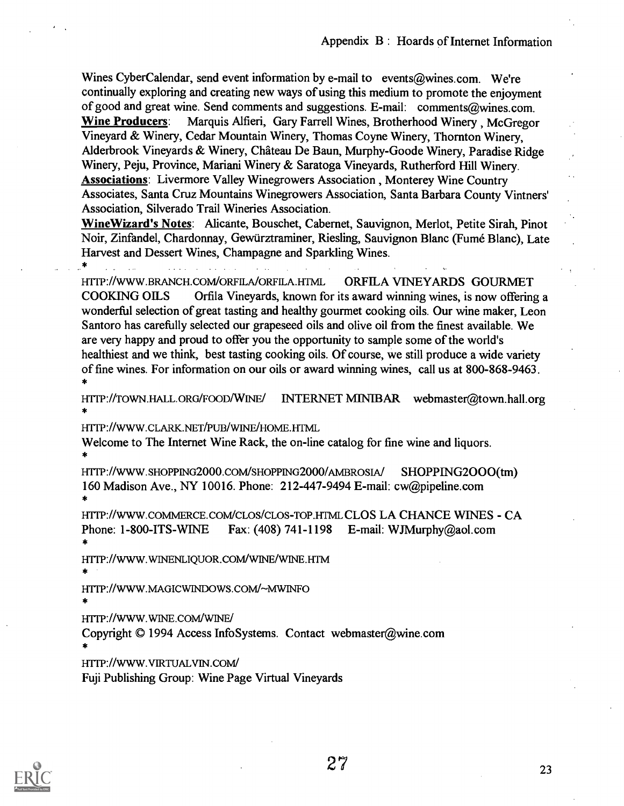Wines Cyber Calendar, send event information by e-mail to events@wines.com. We're continually exploring and creating new ways of using this medium to promote the enjoyment of good and great wine. Send comments and suggestions. E-mail: comments@wines.com. Wine Producers: Marquis Alfieri, Gary Farrell Wines, Brotherhood Winery , McGregor Vineyard & Winery, Cedar Mountain Winery, Thomas Coyne Winery, Thornton Winery, Alderbrook Vineyards & Winery, Chateau De Baun, Murphy-Goode Winery, Paradise Ridge Winery, Peju, Province, Mariani Winery & Saratoga Vineyards, Rutherford Hill Winery. Associations: Livermore Valley Winegrowers Association , Monterey Wine Country Associates, Santa Cruz Mountains Winegrowers Association, Santa Barbara County Vintners' Association, Silverado Trail Wineries Association.

WineWizard's Notes: Alicante, Bouschet, Cabernet, Sauvignon, Merlot, Petite Sirah, Pinot Noir, Zinfandel, Chardonnay, Gewarztraminer, Riesling, Sauvignon Blanc (Fume Blanc), Late Harvest and Dessert Wines, Champagne and Sparkling Wines.

\* $\mathbf{r}$  and  $\mathbf{r}$  $\mathbf{L}$  . The set of  $\mathbf{L}$  $\mathbf{r}$  . The set of  $\mathbf{r}$ HTTP://WWW.BRANCH.COM/ORFILA/ORFILA.HTML ORFILA VINEYARDS GOURMET

COOKING OILS Orfila Vineyards, known for its award winning wines, is now offering a wonderful selection of great tasting and healthy gourmet cooking oils. Our wine maker, Leon Santoro has carefully selected our grapeseed oils and olive oil from the finest available. We are very happy and proud to offer you the opportunity to sample some of the world's healthiest and we think, best tasting cooking oils. Of course, we still produce a wide variety of fine wines. For information on our oils or award winning wines, call us at 800-868-9463. \*

HTTP://TOWN.HALL.ORG/FOOD/WINE/ INTERNET MINTBAR webmaster@town.hall.org \*

HTTP://WWW.CLARK.NET/PUB/WINE/HOME.HTML

Welcome to The Internet Wine Rack, the on-line catalog for fine wine and liquors.

HTTP://WWW.SHOPPING2000.COM/SHOPPING2000/AMBROSIA/ SHOPPING2000(tm) 160 Madison Ave., NY 10016. Phone: 212-447-9494 E-mail: cw@pipeline.com \*

HTTP://WWW.COMMERCE.COM/CLOS/CLOS-TOP.HTML CLOS LA CHANCE WINES - CA Phone: 1-800-ITS-WINE Fax: (408) 741-1198 E-mail: WJMurphy@aol.com \*

HITP://WWW.WINENLIQUOR.COM/WINE/WINE.HTM \*

HTTP://WWW.MAGICWINDOWS.COM/~MWINFO \*

HTTP://WWW.WINE.COM/WINE/

Copyright © 1994 Access InfoSystems. Contact webmaster@wine.com

HITP://WWW.VIRTUALVIN.com/

Fuji Publishing Group: Wine Page Virtual Vineyards

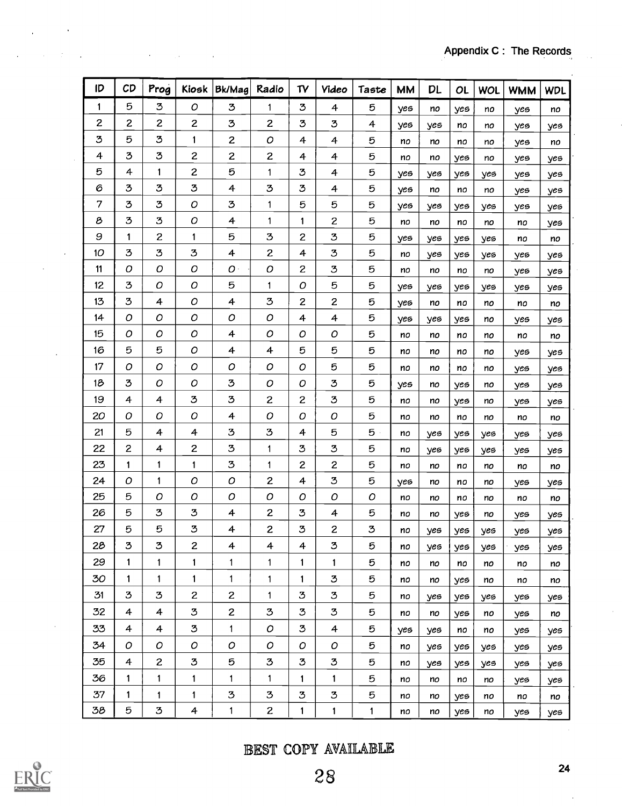| ID             | CD                      | Prog           | Kiosk                   | Bk/Mag                                                     | Radio          | T <sub>V</sub> | <b>Video</b>   | Taste        | <b>MM</b> | <b>DL</b> | <b>OL</b> | WOL | <b>WMM</b> | <b>WDL</b> |
|----------------|-------------------------|----------------|-------------------------|------------------------------------------------------------|----------------|----------------|----------------|--------------|-----------|-----------|-----------|-----|------------|------------|
| 1              | 5                       | 3              | O                       | 3                                                          | $\mathbf{1}$   | 3              | 4              | 5            | yes       | no        | yes       | no  | yes        | no         |
| $\mathbf{z}$   | $\mathbf{z}$            | $\mathbf{z}$   | $\overline{\mathbf{c}}$ | 3                                                          | $\mathbf{Z}$   | 3              | 3              | 4            | yes       | yes       | no        | no  | yes        | yes        |
| 3              | 5                       | 3              | $\mathbf{1}$            | $\overline{c}$                                             | O              | 4              | 4              | 5            | no        | no        | no        | no  | yes        | no         |
| 4              | 3                       | 3              | $\overline{\mathbf{c}}$ | $\overline{c}$                                             | $\mathbf{Z}$   | 4              | 4              | 5            | no        | no        | yes       | no  | yes        | yes        |
| 5              | 4                       | 1              | $\mathbf{z}$            | 5                                                          | 1              | З              | 4              | 5            | yes       | yes       | yes       | yes | yes        | yes        |
| 6              | 3                       | 3              | 3                       | 4                                                          | 3              | 3              | 4              | 5            | yes       | no        | no        | no  | yes        | yes        |
| $\overline{7}$ | 3                       | 3              | O                       | $\mathfrak{Z}% _{M_{1},M_{2}}^{\alpha,\beta}(\varepsilon)$ | 1              | 5              | 5              | 5            | yes       | yes       | yes       | yes | yes        | yes        |
| 8              | 3                       | 3              | ο                       | 4                                                          | 1              | 1              | $\overline{c}$ | 5            | no        | no        | no        | no  | no         | yes        |
| 9              | 1                       | $\mathbf{z}$   | 1                       | 5                                                          | 3              | $\overline{c}$ | 3              | 5            | yes       | yes       | yes       | yes | no         | no         |
| 10             | 3                       | 3              | 3                       | 4                                                          | $\mathbf{z}$   | 4              | 3              | 5            | no        | yes       | yes       | yes | yes        | yes        |
| 11             | ο                       | Ο              | 0                       | O <sub>1</sub>                                             | 0              | 2              | 3              | 5            | no        | no        | no        | no  | yes        | yes        |
| 12             | 3                       | O              | О                       | 5                                                          | 1              | O              | 5              | 5            | yes       | yes       | yes       | yes | yes        | yes        |
| 13             | 3                       | 4              | O                       | 4                                                          | 3              | 2              | 2              | 5            | yes       | no        | no        | no  | no         | no         |
| 14             | О                       | О              | О                       | O                                                          | ο              | 4              | 4              | 5            | yes       | yes       | yes       | no  | yes        | yes        |
| 15             | Ο                       | 0              | О                       | 4                                                          | ο              | 0              | 0              | 5            | no        | no        | no        | no  | no         | no         |
| 16             | 5                       | 5              | O                       | 4                                                          | 4              | 5              | 5              | 5            | no        | no        | no        | no  | yes        | yes        |
| 17             | O                       | 0              | O                       | O                                                          | О              | О              | 5              | 5            | no        | no        | no        | no  | yes        | yes        |
| 18             | 3                       | 0              | ο                       | 3                                                          | О              | O              | 3              | 5            | yes       | no        | yes       | no  | yes        | yes        |
| 19             | 4                       | 4              | 3                       | 3                                                          | $\overline{c}$ | $\overline{c}$ | 3              | 5            | no        | no        | yes       | no  | yes        | yes        |
| 20             | О                       | О              | ο                       | 4                                                          | 0              | О              | О              | 5            | no        | no        | no        | no  | no         | no         |
| 21             | 5                       | 4              | 4                       | 3                                                          | 3              | 4              | 5              | 5            | no        | yes       | yes       | yes | yes        | yes        |
| 22             | $\overline{\mathbf{c}}$ | 4              | $\overline{c}$          | 3                                                          | $\mathbf{1}$   | 3              | 3              | 5            | no        | yes       | yes       | yes | yes        | yes        |
| 23             | $\mathbf{1}$            | $\mathbf{1}$   | 1                       | $\mathfrak{Z}$                                             | 1              | $\mathbf{Z}$   | 2              | 5            | no        | no        | no        | no  | no         | no         |
| 24             | O                       | 1              | О                       | O                                                          | $\mathbf{Z}$   | 4              | 3              | 5            | yes       | no        | no        | no  | yes        | yes        |
| 25             | 5                       | О              | ο                       | O                                                          | О              | O              | O              | $\cal O$     | no        | no        | no        | no  | no         | no         |
| 26             | 5                       | 3              | 3                       | 4                                                          | $\mathbf{z}$   | 3              | 4              | 5            | no        | no        | yes       | no  | yes        | yes        |
| 27             | 5                       | 5              | 3                       | 4                                                          | $\mathbf{z}$   | 3              | $\mathbf{z}$   | 3            | no        | yes       | yes       | yes | yes        | yes        |
| 28             | 3                       | 3              | $\overline{c}$          | 4                                                          | 4              | 4              | 3              | 5            | no        | yes       | yes       | yes | yes        | yes        |
| 29             | $\mathbf{1}$            | $\mathbf{1}$   | $\mathbf{1}$            | 1                                                          | 1              | 1              | 1              | 5            | no        | no        | no        | no  | no         | no         |
| 30             | $\mathbf{1}$            | 1              | $\mathbf{1}$            | 1                                                          | $\mathbf{1}$   | $\mathbf{1}$   | 3              | 5            | no        | no        | yes       | no  | no         | no         |
| 31             | 3                       | 3              | $\overline{c}$          | $\overline{c}$                                             | 1              | 3              | 3              | 5            | no        | yes       | yes       | yes | yes        | yes        |
| 32             | 4                       | 4              | 3                       | $\overline{c}$                                             | 3              | $\mathbf{3}$   | 3              | 5            | no        | no        | yes       | no  | yes        | no         |
| 33             | 4                       | 4              | 3                       | 1                                                          | О              | $\mathbf{3}$   | 4              | 5            | yes       | yes       | no        | no  | yes        | yes        |
| 34             | $\cal O$                | O              | O                       | $\mathcal{O}$                                              | O              | O              | O              | 5            | no        | yes       | yes       | yes | yes        | yes        |
| 35             | 4                       | $\overline{c}$ | 3                       | 5                                                          | 3              | $\mathbf{z}$   | 3              | 5            | no        | yes       | yes       | yes | yes        | yes        |
| 36             | 1                       | $\mathbf{1}$   | 1                       | 1                                                          | $\mathbf{1}$   | 1              | $\mathbf{1}$   | 5            | no        | no        | no        | no  | yes        | yes        |
| 37             | $\mathbf{1}$            | 1              | 1                       | 3                                                          | $\mathbf 3$    | 3              | 3              | 5            | no        | no        | yes       | no  | no         | no         |
| 38             | 5                       | 3              | 4                       | $\mathbf{1}$                                               | $\mathbf{Z}$   | $\mathbf{1}$   | $\mathbf{1}$   | $\mathbf{1}$ | no        | no        | yes       | no  | yes        | yes        |

 $\mathcal{L}$ 

BEST COPY AVAILABLE

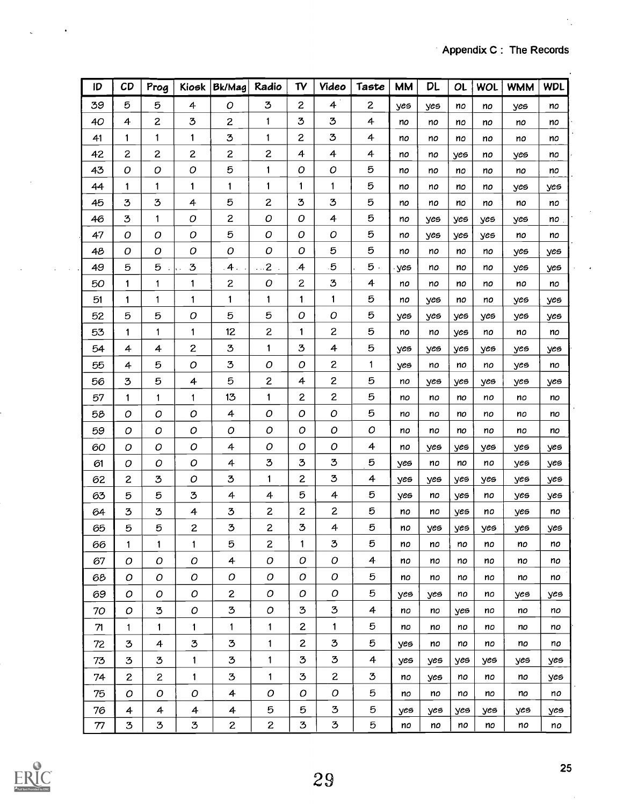| ID | CD             | Prog             | Kiosk            | Bk/Mag         | Radio               | TV             | Video            | Taste          | <b>MM</b> | DL  | OL  | WOL | <b>WMM</b> | <b>WDL</b> |
|----|----------------|------------------|------------------|----------------|---------------------|----------------|------------------|----------------|-----------|-----|-----|-----|------------|------------|
| 39 | 5              | 5                | $\overline{4}$   | O              | 3                   | $\overline{c}$ | 4                | $\overline{c}$ | yes       | yes | no  | no  | yes        | no         |
| 40 | 4              | $\overline{c}$   | 3                | $\mathbf{z}$   | 1                   | 3              | 3                | 4              | no        | no  | no  | no  | no         | no         |
| 41 | 1              | 1                | 1                | 3              | 1                   | $\overline{c}$ | 3                | 4              | no        | no  | no  | no  | no         | no         |
| 42 | $\overline{c}$ | $\overline{c}$   | $\mathbf{z}$     | $\overline{c}$ | $\overline{c}$      | 4              | 4                | 4              | no        | no  | yes | no  | yes        | no         |
| 43 | O              | O                | $\mathcal{O}$    | 5              | 1                   | О              | ο                | 5              | no        | no  | no  | no  | no         | no         |
| 44 | 1              | 1                | 1                | 1              | 1                   | 1              | 1                | 5              | no        | no  | no  | no  | yes        | yes        |
| 45 | 3              | $\mathfrak{B}$   | 4                | 5              | $\overline{c}$      | 3              | 3                | 5              | no        | no  | no  | no  | no         | no         |
| 46 | 3              | 1                | O                | $\mathbf{Z}$   | $\boldsymbol{O}$    | ο              | 4                | 5              | no        | yes | yes | yes | yes        | no         |
| 47 | O              | O                | $\boldsymbol{O}$ | 5              | O                   | О              | 0                | 5              | no        | yes | yes | yes | no         | no         |
| 48 | O              | O                | О                | О              | O                   | O              | 5                | 5              | no        | no  | no  | no  | yes        | yes        |
| 49 | 5              | 5                | 3                | 4.             | $\ldots$ 2 $\ldots$ | $\mathcal{A}$  | 5                | 5.             | yes       | no. | no  | no  | yes        | yes        |
| 50 | 1              | 1                | 1                | $\overline{c}$ | $\cal O$            | $\mathbf{Z}$   | $\mathbf 3$      | 4              | no        | no  | no  | no  | no         | no         |
| 51 | 1              | 1                | 1                | 1              | 1                   | 1              | 1                | 5              | no        | yes | no  | no  | yes        | yes        |
| 52 | 5              | 5                | O                | 5              | 5                   | О              | Ο                | 5              | yes       | yes | yes | yes | yes        | yes        |
| 53 | 1              | 1                | 1                | 12             | $\overline{c}$      | 1              | $\boldsymbol{2}$ | 5              | no        | no  | yes | no  | no         | no         |
| 54 | 4              | 4                | 2                | 3              | 1                   | 3              | 4                | 5              | yes       | yes | yes | yes | yes        | yes        |
| 55 | 4              | 5                | O                | 3              | 0                   | O              | $\mathbf{Z}$     | 1              | yes       | no  | no  | no  | yes        | no         |
| 56 | 3              | 5                | 4                | 5              | 2                   | 4              | $\boldsymbol{z}$ | 5              | no        | yes | yes | yes | yes        | yes        |
| 57 | 1              | 1                | $\mathbf{1}$     | 13             | 1                   | $\overline{c}$ | $\overline{c}$   | 5              | no        | no  | no  | no  | no         | no         |
| 58 | ο              | O                | ο                | 4              | 0                   | O              | O                | 5              | no        | no  | no  | no  | no         | no         |
| 59 | ο              | O                | О                | O              | ο                   | O              | $\cal O$         | O              | no        | no  | no  | no  | no         | no         |
| 60 | O              | O                | Ο                | 4              | O                   | O              | O                | 4              | no        | yes | yes | yes | yes        | yes        |
| 61 | O              | ο                | ο                | 4              | 3                   | $\mathfrak{Z}$ | 3                | 5              | yes       | no  | no  | no  | yes        | yes        |
| 62 | $\mathbf{Z}$   | 3                | O                | 3              | 1                   | 2              | 3                | 4              | yes       | yes | yes | yes | yes        | yes        |
| 63 | 5              | 5                | 3                | 4              | 4                   | 5              | 4                | 5              | yes       | no  | yes | no  | yes        | yes        |
| 64 | 3              | 3                | 4                | 3              | $\overline{c}$      | 2              | 2                | 5              | no        | no  | yes | no  | yes        | no         |
| 65 | 5              | 5                | 2                | 3              | $\mathbf{Z}$        | 3              | 4                | 5              | no        | yes | yes | yes | yes        | yes        |
| 66 | 1              | 1                | 1                | 5              | $\mathbf{z}$        | 1              | 3                | 5              | no        | no  | no  | no  | no         | no         |
| 67 | O              | O                | O                | 4              | O                   | O              | $\cal O$         | 4              | no        | no  | no  | no  | no         | no         |
| 68 | 0              | $\boldsymbol{O}$ | O                | $\cal O$       | $\cal O$            | O              | ${\cal O}$       | 5              | no        | no  | no  | no  | no         | no         |
| 69 | $\cal O$       | O                | O                | $\overline{c}$ | $\cal O$            | O              | O                | 5              | yes       | yes | no  | no  | yes        | yes        |
| 70 | $\mathcal{O}$  | 3                | $\cal O$         | 3              | $\cal O$            | 3              | 3                | 4              | no        | no  | yes | no  | no         | no         |
| 71 | $\mathbf{1}$   | 1                | 1                | $\mathbf{1}$   | $\mathbf{1}$        | $\overline{c}$ | $\mathbf{1}$     | 5              | no        | no  | no  | no  | no         | no         |
| 72 | 3              | 4                | 3                | ${\bf 3}$      | $\mathbf{1}$        | $\mathbf{z}$   | 3                | 5              | yes       | no  | no  | no  | no         | no         |
| 73 | 3              | 3                | 1                | 3              | 1                   | ${\bf 3}$      | 3                | 4              | yes       | yes | yes | yes | yes        | yes        |
| 74 | $\overline{c}$ | $\overline{c}$   | $\mathbf{1}$     | 3              | $\mathbf{1}$        | 3              | $\overline{c}$   | 3              | no        | yes | no  | no  | no         | yes        |
| 75 | O              | O                | O                | 4              | $\cal O$            | O              | 0                | 5              | no        | no  | no  | no  | no         | no         |
| 76 | $\overline{a}$ | $\overline{a}$   | 4                | 4              | 5                   | 5              | 3                | 5              | yes       | yes | yes | yes | yes        | yes        |
| 77 | 3              | 3                | 3                | $\overline{c}$ | $\overline{c}$      | $\mathbf{3}$   | 3                | 5              | no        | no  | no  | no  | no         | no         |



 $\sim$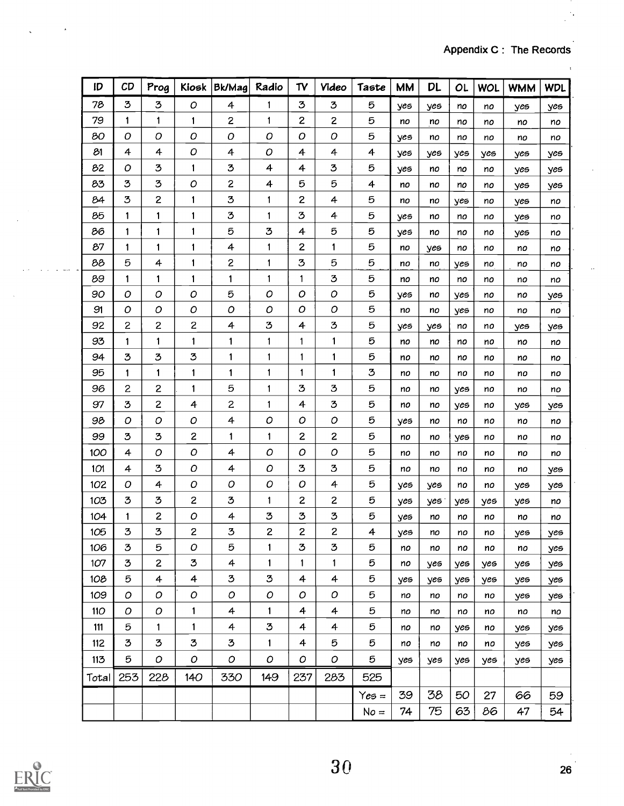$\ddot{\phantom{1}}$ 

| ID    | CD             | Prog           | Kiosk                   | Bk/Mag         | Radio         | TV                      | <b>Video</b>            | Taste   | <b>MM</b> | <b>DL</b> | OL  | WOL | <b>WMM</b> | <b>WDL</b> |
|-------|----------------|----------------|-------------------------|----------------|---------------|-------------------------|-------------------------|---------|-----------|-----------|-----|-----|------------|------------|
| 78    | 3              | 3              | $\boldsymbol{O}$        | 4              | 1             | ${\bf 3}$               | 3                       | 5       | yes       | yes       | no  | no  | yes        | yes        |
| 79    | 1              | 1              | 1                       | $\mathbf{z}$   | 1             | 2                       | $\overline{\mathbf{c}}$ | 5       | no        | no        | no  | no  | no         | no         |
| 80    | O              | 0              | O                       | O              | О             | O                       | O                       | 5       | yes       | no        | no  | no  | no         | no         |
| 81    | 4              | $\overline{4}$ | $\mathcal{O}$           | 4              | О             | 4                       | 4                       | 4       | yes       | yes       | yes | yes | yes        | yes        |
| 82    | 0              | 3              | 1                       | 3              | 4             | 4                       | 3                       | 5       | yes       | no        | no  | no  | yes        | yes        |
| 83    | 3              | 3              | О                       | $\overline{c}$ | 4             | 5                       | 5                       | 4       | no        | no        | no  | no  | yes        | yes        |
| 84    | 3              | $\overline{c}$ | 1                       | 3              | 1             | 2                       | 4                       | 5       | no        | no        | yes | no  | yes        | no         |
| 85    | 1              | 1              | 1                       | ${\bf 3}$      | 1             | 3                       | 4                       | 5       | yes       | no        | no  | no  | yes        | no         |
| 86    | 1              | 1              | 1                       | 5              | 3             | 4                       | 5                       | 5       | yes       | no        | no  | no  | yes        | no         |
| 87    | $\mathbf{1}$   | 1              | 1                       | $\overline{4}$ | 1             | 2                       | 1                       | 5       | no        | yes       | no  | no  | no         | no         |
| 88    | 5              | 4              | 1                       | $\mathbf{z}$   | 1             | 3                       | 5                       | 5       | no        | no        | yes | no  | no         | no         |
| 89    | $\mathbf{1}$   | 1              | 1                       | 1              | 1             | 1                       | 3                       | 5       | no        | no        | no  | no  | no         | no         |
| 90    | O              | 0              | O                       | 5              | О             | 0                       | 0                       | 5       | yes       | no        | yes | no  | no         | yes        |
| 91    | O              | 0              | O                       | O              | O             | 0                       | O                       | 5       | no        | no        | yes | no  | no         | no         |
| 92    | $\overline{c}$ | $\mathbf{z}$   | $\overline{\mathbf{c}}$ | 4              | 3             | 4                       | 3                       | 5       | yes       | yes       | no  | no  | yes        | yes        |
| 93    | 1              | 1              | 1                       | 1              | 1             | 1                       | 1                       | 5       | no        | no        | no  | no  | no         | no         |
| 94    | 3              | 3              | 3                       | 1              | 1             | 1                       | 1                       | 5       | no        | no        | no  | no  | no         | no         |
| 95    | $\mathbf{1}$   | 1              | 1                       | 1              | 1             | 1                       | 1                       | 3       | no        | no        | no  | no  | no         | no         |
| 96    | $\mathbf{2}$   | $\mathbf{z}$   | 1                       | 5              | 1             | 3                       | 3                       | 5       | no        | no        | yes | no  | no         | no         |
| 97    | 3              | $\mathbf{z}$   | 4                       | $\overline{c}$ | 1             | 4                       | 3                       | 5       | no        | no        | yes | no  | yes        | yes        |
| 98    | О              | О              | О                       | $\overline{a}$ | O             | O                       | O                       | 5       | yes       | no        | no  | no  | no         | no         |
| 99    | 3              | 3              | 2                       | $\mathbf{1}$   | 1             | 2                       | $\mathbf{z}$            | 5       | no        | no        | yes | no  | no         | no         |
| 100   | 4              | 0              | 0                       | 4              | $\mathcal{O}$ | 0                       | O                       | 5       | no        | no        | no  | no  | no         | no         |
| 101   | 4              | 3              | О                       | 4              | O             | 3                       | 3                       | 5       | no        | no        | no  | no  | no         | yes        |
| 102   | O              | 4              | О                       | $\cal O$       | $\cal O$      | О                       | 4                       | 5       | yes       | yes       | no  | no  | yes        | yes        |
| 103   | 3              | 3              | 2                       | ${\bf 3}$      | 1             | $\overline{\mathbf{c}}$ | $\overline{c}$          | 5       | yes       | yes       | yes | yes | yes        | no         |
| 104   | 1              | 2              | ο                       | 4              | 3             | 3                       | 3                       | 5       | yes       | no        | no  | no  | no         | no         |
| 105   | 3              | 3              | 2                       | 3              | 2             | 2                       | 2                       | 4       | yes       | no        | no  | no  | yes        | yes        |
| 106   | 3              | 5              | Ο                       | 5              | 1             | 3                       | 3                       | 5       | no        | no        | no  | no  | no         | yes        |
| 107   | 3              | $\mathbf{z}$   | 3                       | 4              | 1             | 1                       | 1                       | 5       | no        | yes       | yes | yes | yes        | yes        |
| 108   | 5              | 4              | 4                       | $\mathbf 3$    | 3             | 4                       | 4                       | 5       | yes       | yes       | yes | yes | yes        | yes        |
| 109   | O              | O              | О                       | $\mathcal{O}$  | O             | O                       | $\mathcal{O}$           | 5       | no        | no        | no  | no  | yes        | yes        |
| 110   | O              | О              | 1                       | 4              | 1             | 4                       | 4                       | 5       | no        | no        | no  | no  | no         | no         |
| 111   | 5              | 1              | 1                       | 4              | 3             | 4                       | 4                       | 5       | no        | no        | yes | no  | yes        | yes        |
| 112   | 3              | 3              | 3                       | 3              | 1             | 4                       | 5                       | 5       | no        | no        | no  | no  | yes        | yes        |
| 113   | 5              | O              | О                       | O              | O             | O                       | O                       | 5       | yes       | yes       | yes | yes | yes        | yes        |
| Total | 253            | 228            | 140                     | 330            | 149           | 237                     | 283                     | 525     |           |           |     |     |            |            |
|       |                |                |                         |                |               |                         |                         | $Yes =$ | 39        | 38        | 50  | 27  | 66         | 59         |
|       |                |                |                         |                |               |                         |                         | $No =$  | 74        | 75        | 63  | 86  | 47         | 54         |



**Contract Committee**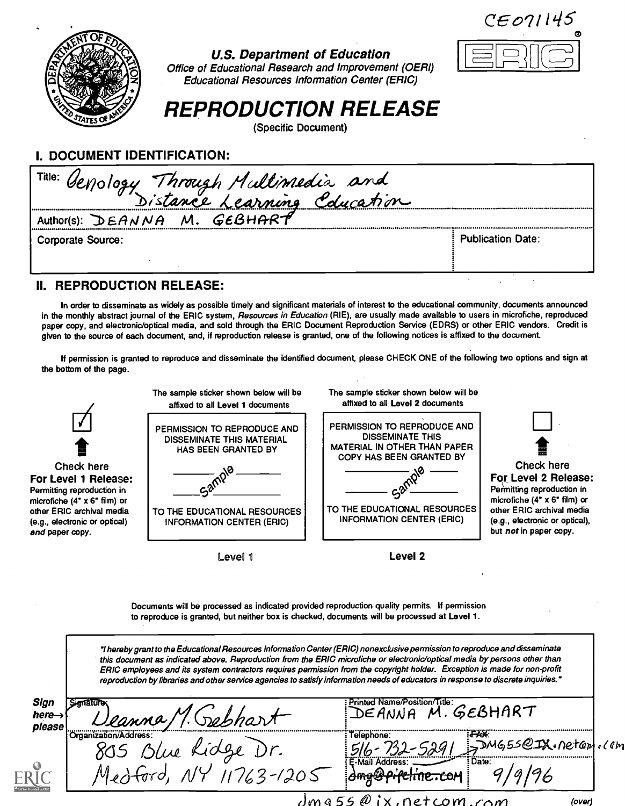$CEO71145$ 

 $\boxed{=}$ 



### U.S. Department of Education Office of Educational Research and Improvement (OERI) Educational Resources Information Center (ERIC)

# REPRODUCTION RELEASE

(Specific Document)

I. DOCUMENT IDENTIFICATION:

| L DOCOMENT IDENTIFICATION.             |                          |  |  |  |  |  |
|----------------------------------------|--------------------------|--|--|--|--|--|
| Title: Genology Through Multimedia and |                          |  |  |  |  |  |
|                                        |                          |  |  |  |  |  |
| Author(s): $DEANNA$ M. GEBHART         |                          |  |  |  |  |  |
| <b>Corporate Source:</b>               | <b>Publication Date:</b> |  |  |  |  |  |
|                                        |                          |  |  |  |  |  |

## II. REPRODUCTION RELEASE:

In order to disseminate as widely as possible timely and significant materials of interest to the educational community, documents announced in the monthly abstract journal of the ERIC system, Resources in Education (RIE), are usually made available to users in microfiche, reproduced paper copy, and electronic/optical media, and sold through the ERIC Document Reproduction Service (EDRS) or other ERIC vendors. Credit is given to the source of each document, and, if reproduction release is granted, one of the following notices is affixed to the document.

If permission is granted to reproduce and disseminate the identified document, please CHECK ONE of the following two options and sign at the bottom of the page.



Documents will be processed as indicated provided reproduction quality permits. If permission to reproduce is granted, but neither box is checked, documents will be processed at Level 1.

'I hereby grant to the Educational Resources Information Center (ERIC) nonexclusive permission to reproduce and disseminate this document as indicated above. Reproduction from the ERIC microfiche or electronic/optical media by persons other than ERIC employees and its system contractors requires permission from the copyright holder. Exception is made for non-profit reproduction by libraries and other service agencies to satisfy information needs of educators in response to discrete inquiries.'

| Sign<br>here-> | anature                          | Printed Name/Position/Title:                | GEBHART                |        |
|----------------|----------------------------------|---------------------------------------------|------------------------|--------|
| please         | eanna.<br>'Organization/Address: | Telephone:                                  | <b>TAX:</b>            |        |
|                | rue                              | 29ھ                                         | $SMS55QIX.$ Netam (Can |        |
|                | 205                              | <b>L-Mail Address</b><br>sherrontine called | : Date:                |        |
|                | dm a                             | netcom.com                                  |                        | (over) |